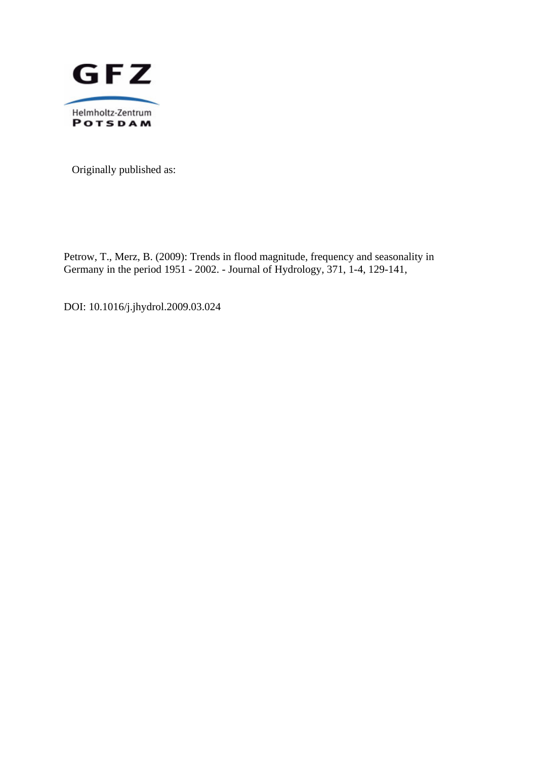

Originally published as:

Petrow, T., Merz, B. (2009): Trends in flood magnitude, frequency and seasonality in Germany in the period 1951 - 2002. - Journal of Hydrology, 371, 1-4, 129-141,

DOI: 10.1016/j.jhydrol.2009.03.024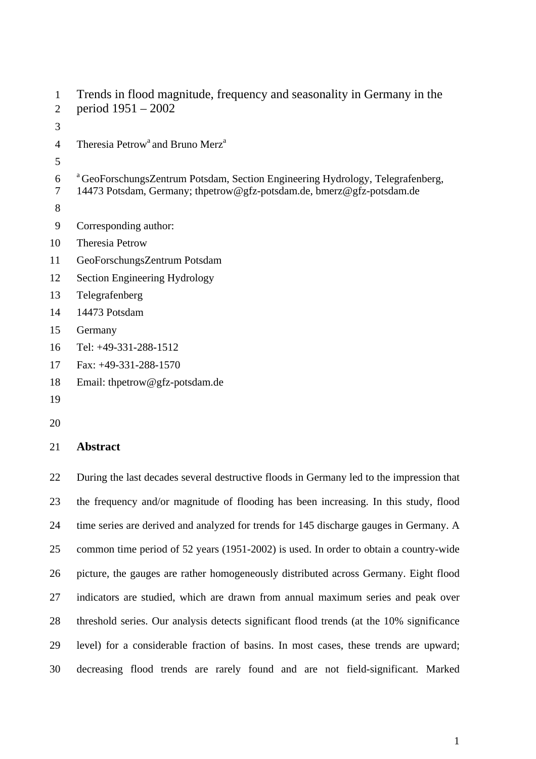```
1 Trends in flood magnitude, frequency and seasonality in Germany in the 
 2 period 1951 – 2002 
 3 
 4 Theresia Petrow<sup>a</sup> and Bruno Merz<sup>a</sup>
 5 
 a 6 GeoForschungsZentrum Potsdam, Section Engineering Hydrology, Telegrafenberg, 
7 14473 Potsdam, Germany; thpetrow@gfz-potsdam.de, bmerz@gfz-potsdam.de 
 8 
9 Corresponding author: 
10 Theresia Petrow 
11 GeoForschungsZentrum Potsdam 
12 Section Engineering Hydrology 
13 Telegrafenberg 
14 14473 Potsdam 
15 Germany 
16 Tel: +49-331-288-1512 
17 Fax: +49-331-288-1570 
18 Email: thpetrow@gfz-potsdam.de
```
- 19
- 20

## 21 **Abstract**

22 During the last decades several destructive floods in Germany led to the impression that 23 the frequency and/or magnitude of flooding has been increasing. In this study, flood 24 time series are derived and analyzed for trends for 145 discharge gauges in Germany. A 25 common time period of 52 years (1951-2002) is used. In order to obtain a country-wide 26 picture, the gauges are rather homogeneously distributed across Germany. Eight flood 27 indicators are studied, which are drawn from annual maximum series and peak over 28 threshold series. Our analysis detects significant flood trends (at the 10% significance 29 level) for a considerable fraction of basins. In most cases, these trends are upward; 30 decreasing flood trends are rarely found and are not field-significant. Marked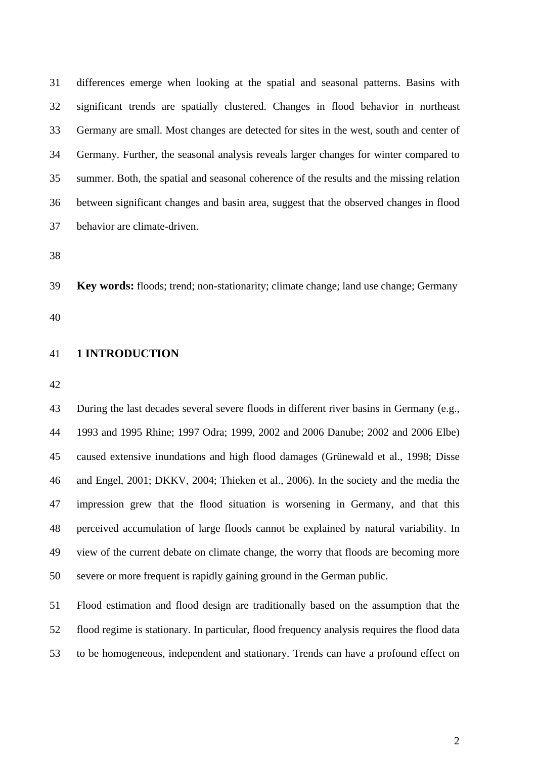31 differences emerge when looking at the spatial and seasonal patterns. Basins with 32 significant trends are spatially clustered. Changes in flood behavior in northeast 33 Germany are small. Most changes are detected for sites in the west, south and center of 34 Germany. Further, the seasonal analysis reveals larger changes for winter compared to 35 summer. Both, the spatial and seasonal coherence of the results and the missing relation 36 between significant changes and basin area, suggest that the observed changes in flood 37 behavior are climate-driven.

38

39 **Key words:** floods; trend; non-stationarity; climate change; land use change; Germany

40

## 41 **1 INTRODUCTION**

42

43 During the last decades several severe floods in different river basins in Germany (e.g., 44 1993 and 1995 Rhine; 1997 Odra; 1999, 2002 and 2006 Danube; 2002 and 2006 Elbe) 45 caused extensive inundations and high flood damages (Grünewald et al., 1998; Disse 46 and Engel, 2001; DKKV, 2004; Thieken et al., 2006). In the society and the media the 47 impression grew that the flood situation is worsening in Germany, and that this 48 perceived accumulation of large floods cannot be explained by natural variability. In 49 view of the current debate on climate change, the worry that floods are becoming more 50 severe or more frequent is rapidly gaining ground in the German public.

51 Flood estimation and flood design are traditionally based on the assumption that the 52 flood regime is stationary. In particular, flood frequency analysis requires the flood data 53 to be homogeneous, independent and stationary. Trends can have a profound effect on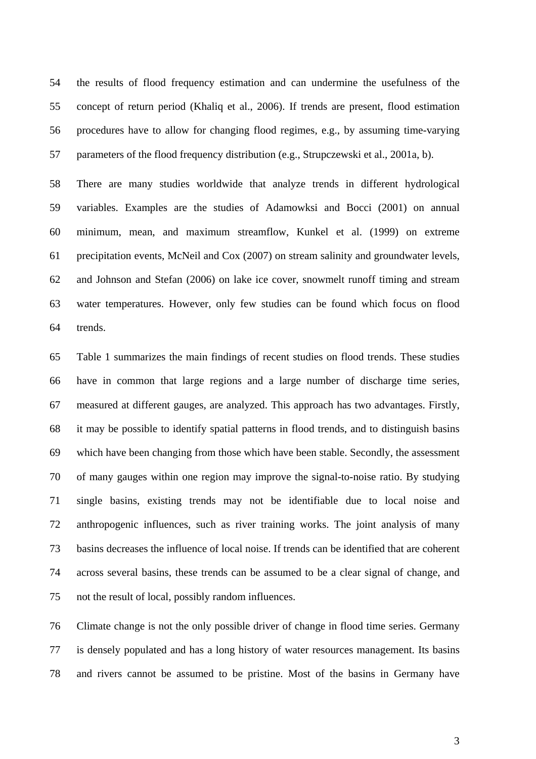54 the results of flood frequency estimation and can undermine the usefulness of the 55 concept of return period (Khaliq et al., 2006). If trends are present, flood estimation 56 procedures have to allow for changing flood regimes, e.g., by assuming time-varying 57 parameters of the flood frequency distribution (e.g., Strupczewski et al., 2001a, b).

58 There are many studies worldwide that analyze trends in different hydrological 59 variables. Examples are the studies of Adamowksi and Bocci (2001) on annual 60 minimum, mean, and maximum streamflow, Kunkel et al. (1999) on extreme 61 precipitation events, McNeil and Cox (2007) on stream salinity and groundwater levels, 62 and Johnson and Stefan (2006) on lake ice cover, snowmelt runoff timing and stream 63 water temperatures. However, only few studies can be found which focus on flood 64 trends.

65 Table 1 summarizes the main findings of recent studies on flood trends. These studies 66 have in common that large regions and a large number of discharge time series, 67 measured at different gauges, are analyzed. This approach has two advantages. Firstly, 68 it may be possible to identify spatial patterns in flood trends, and to distinguish basins 69 which have been changing from those which have been stable. Secondly, the assessment 70 of many gauges within one region may improve the signal-to-noise ratio. By studying 71 single basins, existing trends may not be identifiable due to local noise and 72 anthropogenic influences, such as river training works. The joint analysis of many 73 basins decreases the influence of local noise. If trends can be identified that are coherent 74 across several basins, these trends can be assumed to be a clear signal of change, and 75 not the result of local, possibly random influences.

76 Climate change is not the only possible driver of change in flood time series. Germany 77 is densely populated and has a long history of water resources management. Its basins 78 and rivers cannot be assumed to be pristine. Most of the basins in Germany have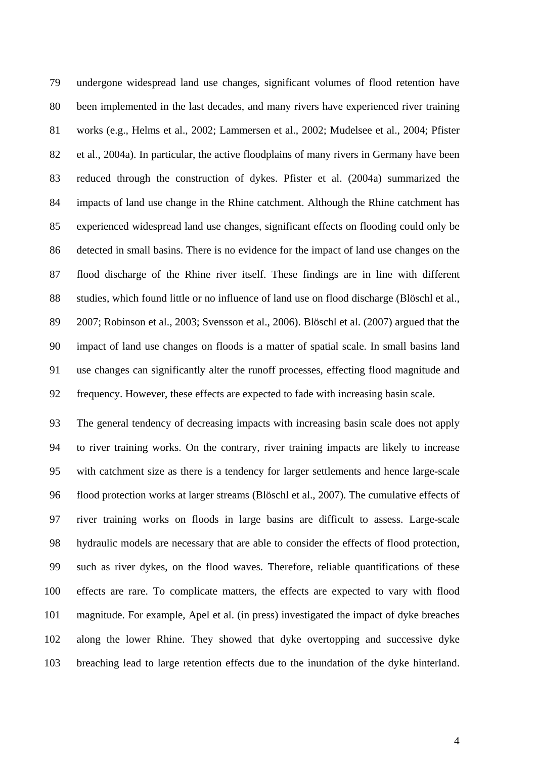79 undergone widespread land use changes, significant volumes of flood retention have 80 been implemented in the last decades, and many rivers have experienced river training 81 works (e.g., Helms et al., 2002; Lammersen et al., 2002; Mudelsee et al., 2004; Pfister 82 et al., 2004a). In particular, the active floodplains of many rivers in Germany have been 83 reduced through the construction of dykes. Pfister et al. (2004a) summarized the 84 impacts of land use change in the Rhine catchment. Although the Rhine catchment has 85 experienced widespread land use changes, significant effects on flooding could only be 86 detected in small basins. There is no evidence for the impact of land use changes on the 87 flood discharge of the Rhine river itself. These findings are in line with different 88 studies, which found little or no influence of land use on flood discharge (Blöschl et al., 89 2007; Robinson et al., 2003; Svensson et al., 2006). Blöschl et al. (2007) argued that the 90 impact of land use changes on floods is a matter of spatial scale. In small basins land 91 use changes can significantly alter the runoff processes, effecting flood magnitude and 92 frequency. However, these effects are expected to fade with increasing basin scale.

93 The general tendency of decreasing impacts with increasing basin scale does not apply 94 to river training works. On the contrary, river training impacts are likely to increase 95 with catchment size as there is a tendency for larger settlements and hence large-scale 96 flood protection works at larger streams (Blöschl et al., 2007). The cumulative effects of 97 river training works on floods in large basins are difficult to assess. Large-scale 98 hydraulic models are necessary that are able to consider the effects of flood protection, 99 such as river dykes, on the flood waves. Therefore, reliable quantifications of these 100 effects are rare. To complicate matters, the effects are expected to vary with flood 101 magnitude. For example, Apel et al. (in press) investigated the impact of dyke breaches 102 along the lower Rhine. They showed that dyke overtopping and successive dyke 103 breaching lead to large retention effects due to the inundation of the dyke hinterland.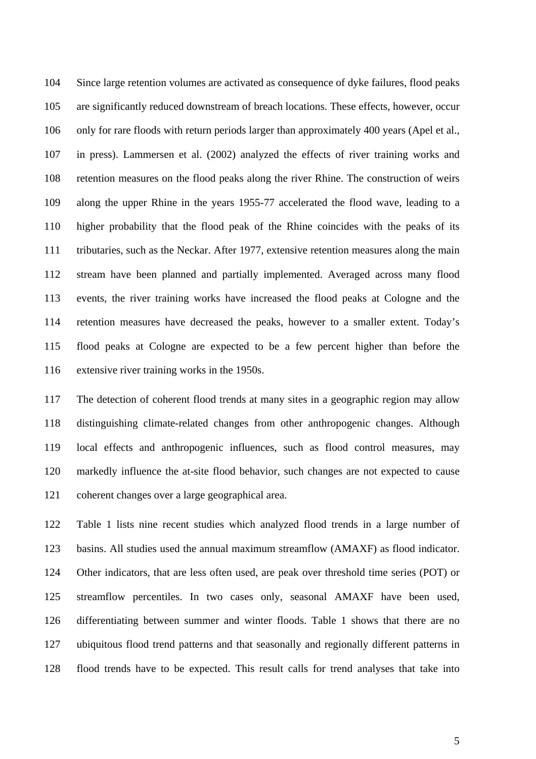104 Since large retention volumes are activated as consequence of dyke failures, flood peaks 105 are significantly reduced downstream of breach locations. These effects, however, occur 106 only for rare floods with return periods larger than approximately 400 years (Apel et al., 107 in press). Lammersen et al. (2002) analyzed the effects of river training works and 108 retention measures on the flood peaks along the river Rhine. The construction of weirs 109 along the upper Rhine in the years 1955-77 accelerated the flood wave, leading to a 110 higher probability that the flood peak of the Rhine coincides with the peaks of its 111 tributaries, such as the Neckar. After 1977, extensive retention measures along the main 112 stream have been planned and partially implemented. Averaged across many flood 113 events, the river training works have increased the flood peaks at Cologne and the 114 retention measures have decreased the peaks, however to a smaller extent. Today's 115 flood peaks at Cologne are expected to be a few percent higher than before the 116 extensive river training works in the 1950s.

117 The detection of coherent flood trends at many sites in a geographic region may allow 118 distinguishing climate-related changes from other anthropogenic changes. Although 119 local effects and anthropogenic influences, such as flood control measures, may 120 markedly influence the at-site flood behavior, such changes are not expected to cause 121 coherent changes over a large geographical area.

122 Table 1 lists nine recent studies which analyzed flood trends in a large number of 123 basins. All studies used the annual maximum streamflow (AMAXF) as flood indicator. 124 Other indicators, that are less often used, are peak over threshold time series (POT) or 125 streamflow percentiles. In two cases only, seasonal AMAXF have been used, 126 differentiating between summer and winter floods. Table 1 shows that there are no 127 ubiquitous flood trend patterns and that seasonally and regionally different patterns in 128 flood trends have to be expected. This result calls for trend analyses that take into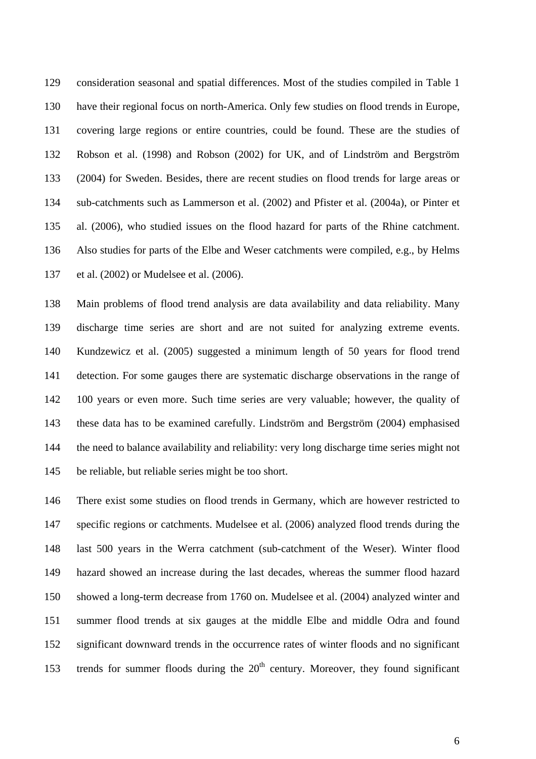129 consideration seasonal and spatial differences. Most of the studies compiled in Table 1 130 have their regional focus on north-America. Only few studies on flood trends in Europe, 131 covering large regions or entire countries, could be found. These are the studies of 132 Robson et al. (1998) and Robson (2002) for UK, and of Lindström and Bergström 133 (2004) for Sweden. Besides, there are recent studies on flood trends for large areas or 134 sub-catchments such as Lammerson et al. (2002) and Pfister et al. (2004a), or Pinter et 135 al. (2006), who studied issues on the flood hazard for parts of the Rhine catchment. 136 Also studies for parts of the Elbe and Weser catchments were compiled, e.g., by Helms 137 et al. (2002) or Mudelsee et al. (2006).

138 Main problems of flood trend analysis are data availability and data reliability. Many 139 discharge time series are short and are not suited for analyzing extreme events. 140 Kundzewicz et al. (2005) suggested a minimum length of 50 years for flood trend 141 detection. For some gauges there are systematic discharge observations in the range of 142 100 years or even more. Such time series are very valuable; however, the quality of 143 these data has to be examined carefully. Lindström and Bergström (2004) emphasised 144 the need to balance availability and reliability: very long discharge time series might not 145 be reliable, but reliable series might be too short.

146 There exist some studies on flood trends in Germany, which are however restricted to 147 specific regions or catchments. Mudelsee et al. (2006) analyzed flood trends during the 148 last 500 years in the Werra catchment (sub-catchment of the Weser). Winter flood 149 hazard showed an increase during the last decades, whereas the summer flood hazard 150 showed a long-term decrease from 1760 on. Mudelsee et al. (2004) analyzed winter and 151 summer flood trends at six gauges at the middle Elbe and middle Odra and found 152 significant downward trends in the occurrence rates of winter floods and no significant 153 trends for summer floods during the  $20<sup>th</sup>$  century. Moreover, they found significant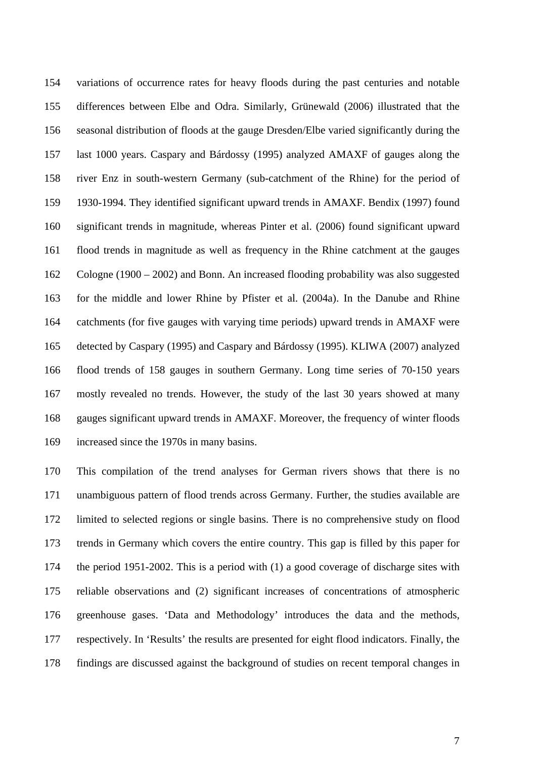154 variations of occurrence rates for heavy floods during the past centuries and notable 155 differences between Elbe and Odra. Similarly, Grünewald (2006) illustrated that the 156 seasonal distribution of floods at the gauge Dresden/Elbe varied significantly during the 157 last 1000 years. Caspary and Bárdossy (1995) analyzed AMAXF of gauges along the 158 river Enz in south-western Germany (sub-catchment of the Rhine) for the period of 159 1930-1994. They identified significant upward trends in AMAXF. Bendix (1997) found 160 significant trends in magnitude, whereas Pinter et al. (2006) found significant upward 161 flood trends in magnitude as well as frequency in the Rhine catchment at the gauges 162 Cologne (1900 – 2002) and Bonn. An increased flooding probability was also suggested 163 for the middle and lower Rhine by Pfister et al. (2004a). In the Danube and Rhine 164 catchments (for five gauges with varying time periods) upward trends in AMAXF were 165 detected by Caspary (1995) and Caspary and Bárdossy (1995). KLIWA (2007) analyzed 166 flood trends of 158 gauges in southern Germany. Long time series of 70-150 years 167 mostly revealed no trends. However, the study of the last 30 years showed at many 168 gauges significant upward trends in AMAXF. Moreover, the frequency of winter floods 169 increased since the 1970s in many basins.

170 This compilation of the trend analyses for German rivers shows that there is no 171 unambiguous pattern of flood trends across Germany. Further, the studies available are 172 limited to selected regions or single basins. There is no comprehensive study on flood 173 trends in Germany which covers the entire country. This gap is filled by this paper for 174 the period 1951-2002. This is a period with (1) a good coverage of discharge sites with 175 reliable observations and (2) significant increases of concentrations of atmospheric 176 greenhouse gases. 'Data and Methodology' introduces the data and the methods, 177 respectively. In 'Results' the results are presented for eight flood indicators. Finally, the 178 findings are discussed against the background of studies on recent temporal changes in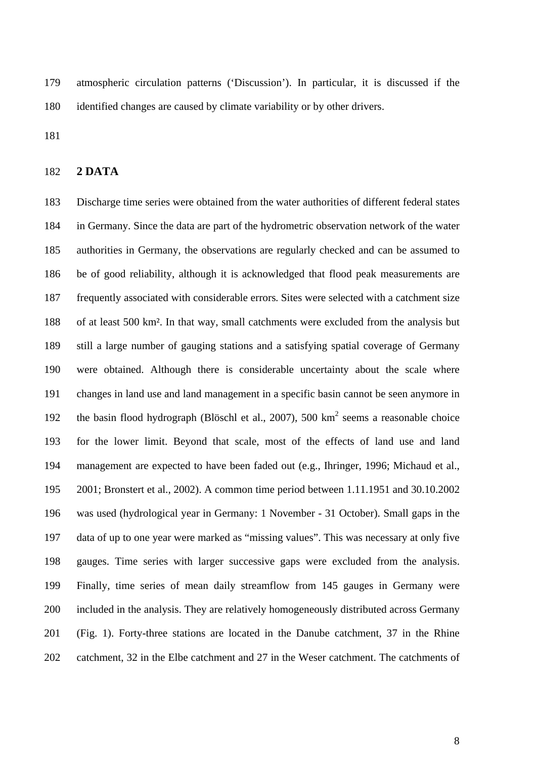179 atmospheric circulation patterns ('Discussion'). In particular, it is discussed if the 180 identified changes are caused by climate variability or by other drivers.

181

#### 182 **2 DATA**

183 Discharge time series were obtained from the water authorities of different federal states 184 in Germany. Since the data are part of the hydrometric observation network of the water 185 authorities in Germany, the observations are regularly checked and can be assumed to 186 be of good reliability, although it is acknowledged that flood peak measurements are 187 frequently associated with considerable errors. Sites were selected with a catchment size 188 of at least 500 km². In that way, small catchments were excluded from the analysis but 189 still a large number of gauging stations and a satisfying spatial coverage of Germany 190 were obtained. Although there is considerable uncertainty about the scale where 191 changes in land use and land management in a specific basin cannot be seen anymore in 192 the basin flood hydrograph (Blöschl et al., 2007), 500  $km^2$  seems a reasonable choice 193 for the lower limit. Beyond that scale, most of the effects of land use and land 194 management are expected to have been faded out (e.g., Ihringer, 1996; Michaud et al., 195 2001; Bronstert et al., 2002). A common time period between 1.11.1951 and 30.10.2002 196 was used (hydrological year in Germany: 1 November - 31 October). Small gaps in the 197 data of up to one year were marked as "missing values". This was necessary at only five 198 gauges. Time series with larger successive gaps were excluded from the analysis. 199 Finally, time series of mean daily streamflow from 145 gauges in Germany were 200 included in the analysis. They are relatively homogeneously distributed across Germany 201 (Fig. 1). Forty-three stations are located in the Danube catchment, 37 in the Rhine 202 catchment, 32 in the Elbe catchment and 27 in the Weser catchment. The catchments of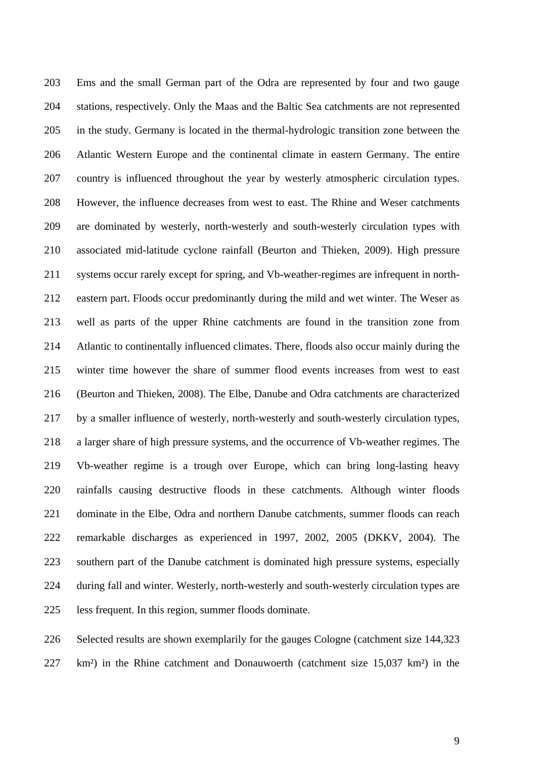203 Ems and the small German part of the Odra are represented by four and two gauge 204 stations, respectively. Only the Maas and the Baltic Sea catchments are not represented 205 in the study. Germany is located in the thermal-hydrologic transition zone between the 206 Atlantic Western Europe and the continental climate in eastern Germany. The entire 207 country is influenced throughout the year by westerly atmospheric circulation types. 208 However, the influence decreases from west to east. The Rhine and Weser catchments 209 are dominated by westerly, north-westerly and south-westerly circulation types with 210 associated mid-latitude cyclone rainfall (Beurton and Thieken, 2009). High pressure 211 systems occur rarely except for spring, and Vb-weather-regimes are infrequent in north-212 eastern part. Floods occur predominantly during the mild and wet winter. The Weser as 213 well as parts of the upper Rhine catchments are found in the transition zone from 214 Atlantic to continentally influenced climates. There, floods also occur mainly during the 215 winter time however the share of summer flood events increases from west to east 216 (Beurton and Thieken, 2008). The Elbe, Danube and Odra catchments are characterized 217 by a smaller influence of westerly, north-westerly and south-westerly circulation types, 218 a larger share of high pressure systems, and the occurrence of Vb-weather regimes. The 219 Vb-weather regime is a trough over Europe, which can bring long-lasting heavy 220 rainfalls causing destructive floods in these catchments. Although winter floods 221 dominate in the Elbe, Odra and northern Danube catchments, summer floods can reach 222 remarkable discharges as experienced in 1997, 2002, 2005 (DKKV, 2004). The 223 southern part of the Danube catchment is dominated high pressure systems, especially 224 during fall and winter. Westerly, north-westerly and south-westerly circulation types are 225 less frequent. In this region, summer floods dominate.

226 Selected results are shown exemplarily for the gauges Cologne (catchment size 144,323 227 km²) in the Rhine catchment and Donauwoerth (catchment size 15,037 km²) in the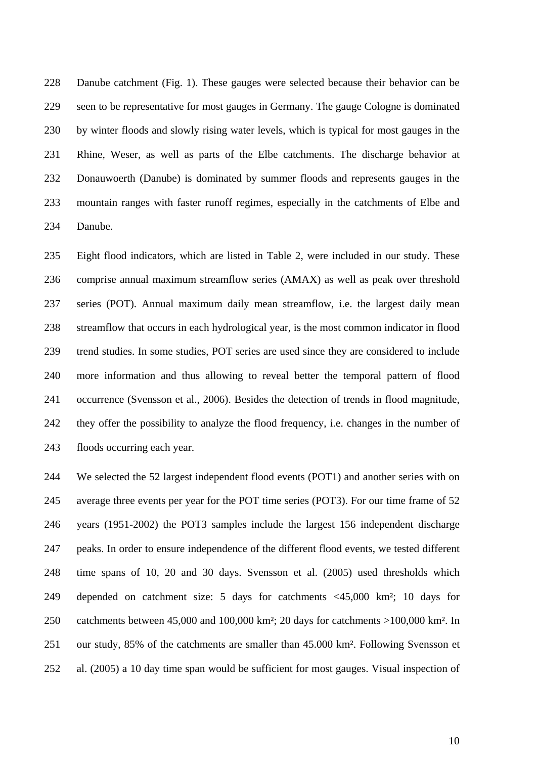228 Danube catchment (Fig. 1). These gauges were selected because their behavior can be 229 seen to be representative for most gauges in Germany. The gauge Cologne is dominated 230 by winter floods and slowly rising water levels, which is typical for most gauges in the 231 Rhine, Weser, as well as parts of the Elbe catchments. The discharge behavior at 232 Donauwoerth (Danube) is dominated by summer floods and represents gauges in the 233 mountain ranges with faster runoff regimes, especially in the catchments of Elbe and 234 Danube.

235 Eight flood indicators, which are listed in Table 2, were included in our study. These 236 comprise annual maximum streamflow series (AMAX) as well as peak over threshold 237 series (POT). Annual maximum daily mean streamflow, i.e. the largest daily mean 238 streamflow that occurs in each hydrological year, is the most common indicator in flood 239 trend studies. In some studies, POT series are used since they are considered to include 240 more information and thus allowing to reveal better the temporal pattern of flood 241 occurrence (Svensson et al., 2006). Besides the detection of trends in flood magnitude, 242 they offer the possibility to analyze the flood frequency, i.e. changes in the number of 243 floods occurring each year.

244 We selected the 52 largest independent flood events (POT1) and another series with on 245 average three events per year for the POT time series (POT3). For our time frame of 52 246 years (1951-2002) the POT3 samples include the largest 156 independent discharge 247 peaks. In order to ensure independence of the different flood events, we tested different 248 time spans of 10, 20 and 30 days. Svensson et al. (2005) used thresholds which 249 depended on catchment size: 5 days for catchments <45,000 km²; 10 days for 250 catchments between 45,000 and 100,000 km²; 20 days for catchments >100,000 km². In 251 our study, 85% of the catchments are smaller than 45.000 km². Following Svensson et 252 al. (2005) a 10 day time span would be sufficient for most gauges. Visual inspection of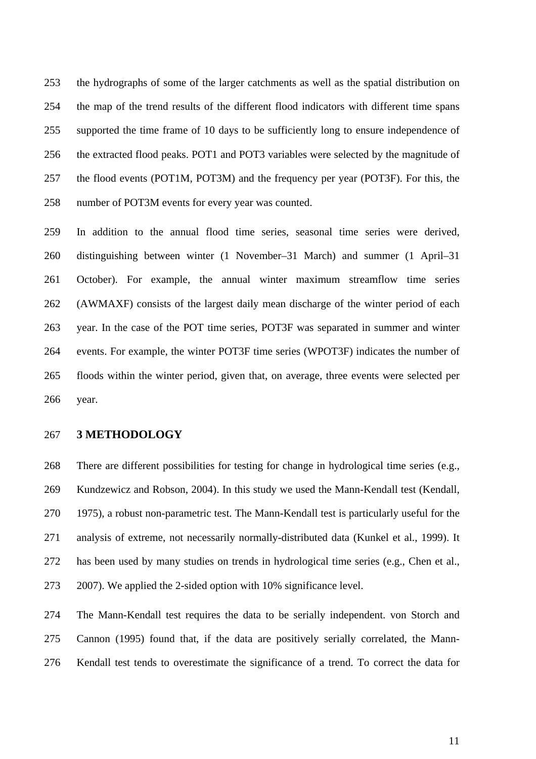253 the hydrographs of some of the larger catchments as well as the spatial distribution on 254 the map of the trend results of the different flood indicators with different time spans 255 supported the time frame of 10 days to be sufficiently long to ensure independence of 256 the extracted flood peaks. POT1 and POT3 variables were selected by the magnitude of 257 the flood events (POT1M, POT3M) and the frequency per year (POT3F). For this, the 258 number of POT3M events for every year was counted.

259 In addition to the annual flood time series, seasonal time series were derived, 260 distinguishing between winter (1 November–31 March) and summer (1 April–31 261 October). For example, the annual winter maximum streamflow time series 262 (AWMAXF) consists of the largest daily mean discharge of the winter period of each 263 year. In the case of the POT time series, POT3F was separated in summer and winter 264 events. For example, the winter POT3F time series (WPOT3F) indicates the number of 265 floods within the winter period, given that, on average, three events were selected per 266 year.

## 267 **3 METHODOLOGY**

268 There are different possibilities for testing for change in hydrological time series (e.g., 269 Kundzewicz and Robson, 2004). In this study we used the Mann-Kendall test (Kendall, 270 1975), a robust non-parametric test. The Mann-Kendall test is particularly useful for the 271 analysis of extreme, not necessarily normally-distributed data (Kunkel et al., 1999). It 272 has been used by many studies on trends in hydrological time series (e.g., Chen et al., 273 2007). We applied the 2-sided option with 10% significance level.

274 The Mann-Kendall test requires the data to be serially independent. von Storch and 275 Cannon (1995) found that, if the data are positively serially correlated, the Mann-276 Kendall test tends to overestimate the significance of a trend. To correct the data for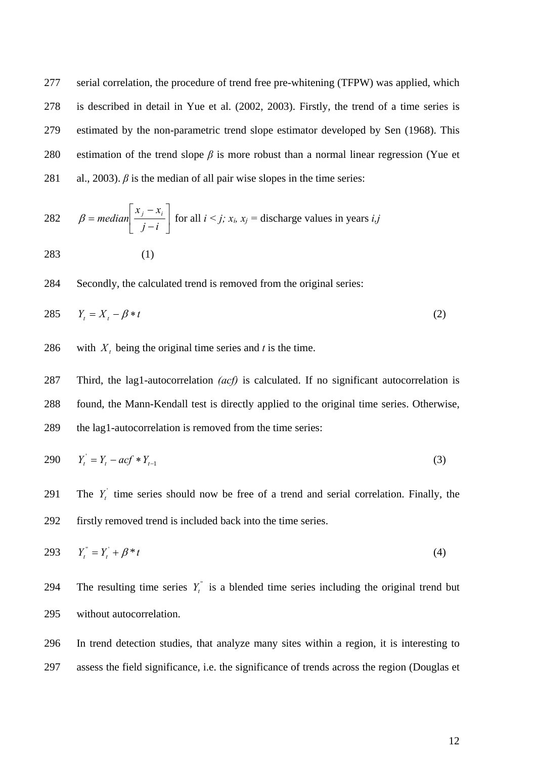277 serial correlation, the procedure of trend free pre-whitening (TFPW) was applied, which 278 is described in detail in Yue et al. (2002, 2003). Firstly, the trend of a time series is 279 estimated by the non-parametric trend slope estimator developed by Sen (1968). This 280 estimation of the trend slope *β* is more robust than a normal linear regression (Yue et 281 al., 2003).  $\beta$  is the median of all pair wise slopes in the time series:

282 
$$
\beta = \text{median}\left[\frac{x_j - x_i}{j - i}\right]
$$
 for all  $i < j$ ;  $x_i$ ,  $x_j$  = discharge values in years *i*,*j*  
283 (1)

284 Secondly, the calculated trend is removed from the original series:

$$
285 \t Y_t = X_t - \beta * t \t (2)
$$

286 with  $X_t$  being the original time series and *t* is the time.

287 Third, the lag1-autocorrelation *(acf)* is calculated. If no significant autocorrelation is 288 found, the Mann-Kendall test is directly applied to the original time series. Otherwise, 289 the lag1-autocorrelation is removed from the time series:

$$
290 \t Y_t' = Y_t - acf * Y_{t-1} \t\t(3)
$$

291 The  $Y_t$ <sup>'</sup> time series should now be free of a trend and serial correlation. Finally, the 292 firstly removed trend is included back into the time series.

293 
$$
Y_t^{\prime\prime} = Y_t^{\prime} + \beta^* t
$$
 (4)

294 The resulting time series  $Y_t^*$  is a blended time series including the original trend but 295 without autocorrelation.

296 In trend detection studies, that analyze many sites within a region, it is interesting to 297 assess the field significance, i.e. the significance of trends across the region (Douglas et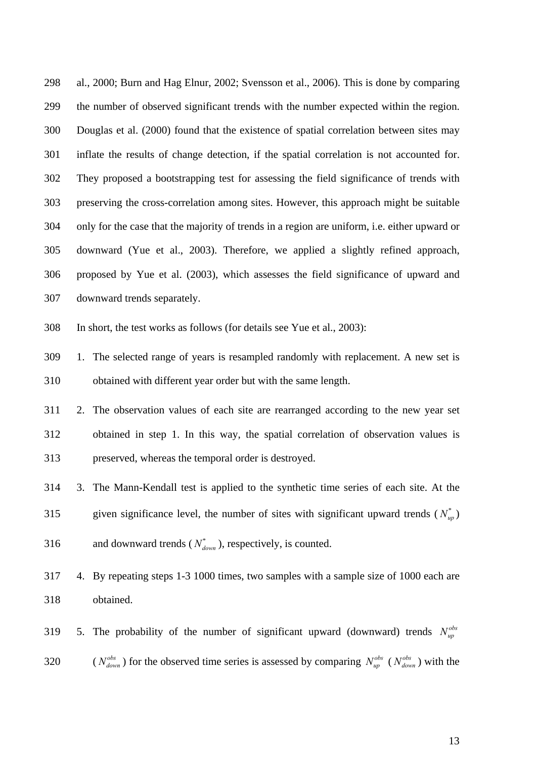298 al., 2000; Burn and Hag Elnur, 2002; Svensson et al., 2006). This is done by comparing 299 the number of observed significant trends with the number expected within the region. 300 Douglas et al. (2000) found that the existence of spatial correlation between sites may 301 inflate the results of change detection, if the spatial correlation is not accounted for. 302 They proposed a bootstrapping test for assessing the field significance of trends with 303 preserving the cross-correlation among sites. However, this approach might be suitable 304 only for the case that the majority of trends in a region are uniform, i.e. either upward or 305 downward (Yue et al., 2003). Therefore, we applied a slightly refined approach, 306 proposed by Yue et al. (2003), which assesses the field significance of upward and 307 downward trends separately.

308 In short, the test works as follows (for details see Yue et al., 2003):

309 1. The selected range of years is resampled randomly with replacement. A new set is 310 obtained with different year order but with the same length.

311 2. The observation values of each site are rearranged according to the new year set 312 obtained in step 1. In this way, the spatial correlation of observation values is 313 preserved, whereas the temporal order is destroyed.

314 3. The Mann-Kendall test is applied to the synthetic time series of each site. At the 315 given significance level, the number of sites with significant upward trends  $(N_{\nu}^*)$ 316 and downward trends  $(N^*_{down})$ , respectively, is counted.

317 4. By repeating steps 1-3 1000 times, two samples with a sample size of 1000 each are 318 obtained.

5. The probability of the number of significant upward (downward) trends  $N_{un}^{obs}$ 320 ( $N_{down}^{obs}$ ) for the observed time series is assessed by comparing  $N_{up}^{obs}$  ( $N_{down}^{obs}$ ) with the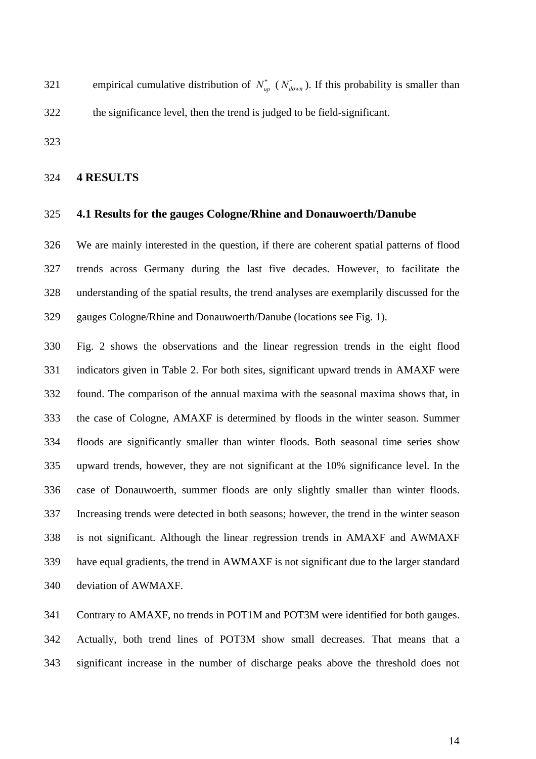empirical cumulative distribution of  $N_{up}^*$  ( $N_{down}^*$ ). If this probability is smaller than 322 the significance level, then the trend is judged to be field-significant.

323

### 324 **4 RESULTS**

# 325 **4.1 Results for the gauges Cologne/Rhine and Donauwoerth/Danube**

326 We are mainly interested in the question, if there are coherent spatial patterns of flood 327 trends across Germany during the last five decades. However, to facilitate the 328 understanding of the spatial results, the trend analyses are exemplarily discussed for the 329 gauges Cologne/Rhine and Donauwoerth/Danube (locations see Fig. 1).

330 Fig. 2 shows the observations and the linear regression trends in the eight flood 331 indicators given in Table 2. For both sites, significant upward trends in AMAXF were 332 found. The comparison of the annual maxima with the seasonal maxima shows that, in 333 the case of Cologne, AMAXF is determined by floods in the winter season. Summer 334 floods are significantly smaller than winter floods. Both seasonal time series show 335 upward trends, however, they are not significant at the 10% significance level. In the 336 case of Donauwoerth, summer floods are only slightly smaller than winter floods. 337 Increasing trends were detected in both seasons; however, the trend in the winter season 338 is not significant. Although the linear regression trends in AMAXF and AWMAXF 339 have equal gradients, the trend in AWMAXF is not significant due to the larger standard 340 deviation of AWMAXF.

341 Contrary to AMAXF, no trends in POT1M and POT3M were identified for both gauges. 342 Actually, both trend lines of POT3M show small decreases. That means that a 343 significant increase in the number of discharge peaks above the threshold does not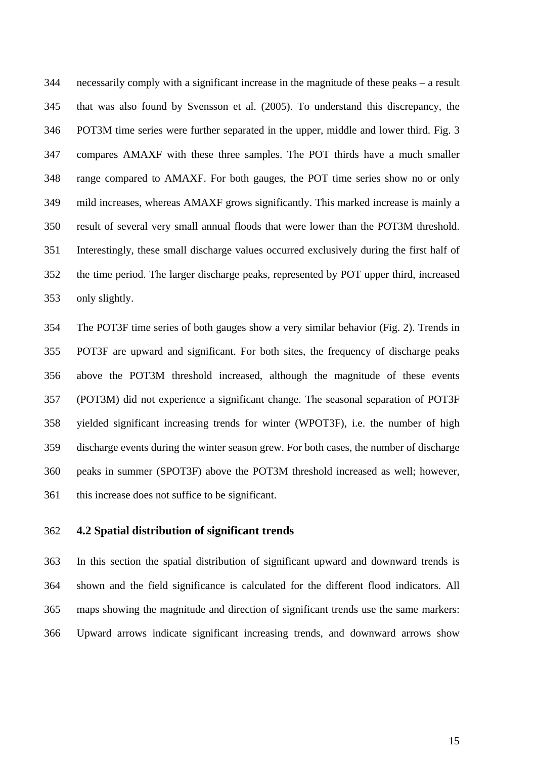344 necessarily comply with a significant increase in the magnitude of these peaks – a result 345 that was also found by Svensson et al. (2005). To understand this discrepancy, the 346 POT3M time series were further separated in the upper, middle and lower third. Fig. 3 347 compares AMAXF with these three samples. The POT thirds have a much smaller 348 range compared to AMAXF. For both gauges, the POT time series show no or only 349 mild increases, whereas AMAXF grows significantly. This marked increase is mainly a 350 result of several very small annual floods that were lower than the POT3M threshold. 351 Interestingly, these small discharge values occurred exclusively during the first half of 352 the time period. The larger discharge peaks, represented by POT upper third, increased 353 only slightly.

354 The POT3F time series of both gauges show a very similar behavior (Fig. 2). Trends in 355 POT3F are upward and significant. For both sites, the frequency of discharge peaks 356 above the POT3M threshold increased, although the magnitude of these events 357 (POT3M) did not experience a significant change. The seasonal separation of POT3F 358 yielded significant increasing trends for winter (WPOT3F), i.e. the number of high 359 discharge events during the winter season grew. For both cases, the number of discharge 360 peaks in summer (SPOT3F) above the POT3M threshold increased as well; however, 361 this increase does not suffice to be significant.

# 362 **4.2 Spatial distribution of significant trends**

363 In this section the spatial distribution of significant upward and downward trends is 364 shown and the field significance is calculated for the different flood indicators. All 365 maps showing the magnitude and direction of significant trends use the same markers: 366 Upward arrows indicate significant increasing trends, and downward arrows show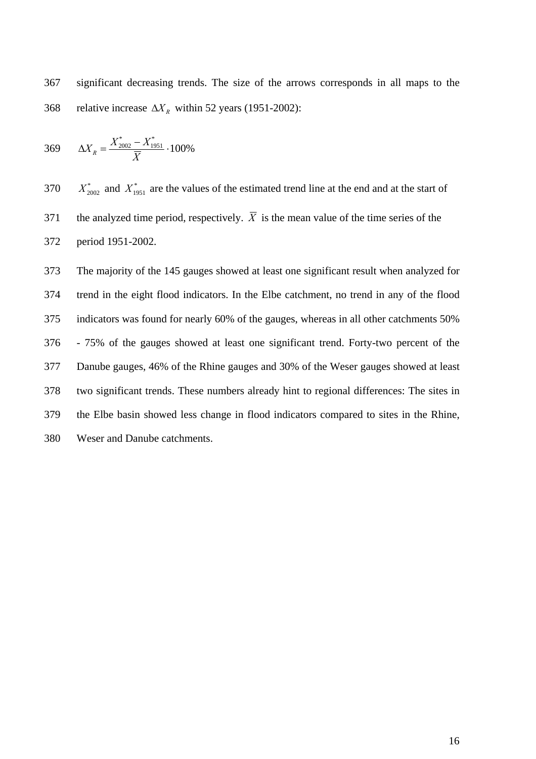367 significant decreasing trends. The size of the arrows corresponds in all maps to the 368 relative increase  $\Delta X_R$  within 52 years (1951-2002):

$$
369 \qquad \Delta X_R = \frac{X_{2002}^* - X_{1951}^*}{\overline{X}} \cdot 100\%
$$

 $^{370}X_{2002}^*$  and  $^{370}X_{1951}^*$  are the values of the estimated trend line at the end and at the start of 371 the analyzed time period, respectively.  $\overline{X}$  is the mean value of the time series of the 372 period 1951-2002.

373 The majority of the 145 gauges showed at least one significant result when analyzed for 374 trend in the eight flood indicators. In the Elbe catchment, no trend in any of the flood 375 indicators was found for nearly 60% of the gauges, whereas in all other catchments 50% 376 - 75% of the gauges showed at least one significant trend. Forty-two percent of the 377 Danube gauges, 46% of the Rhine gauges and 30% of the Weser gauges showed at least 378 two significant trends. These numbers already hint to regional differences: The sites in 379 the Elbe basin showed less change in flood indicators compared to sites in the Rhine, 380 Weser and Danube catchments.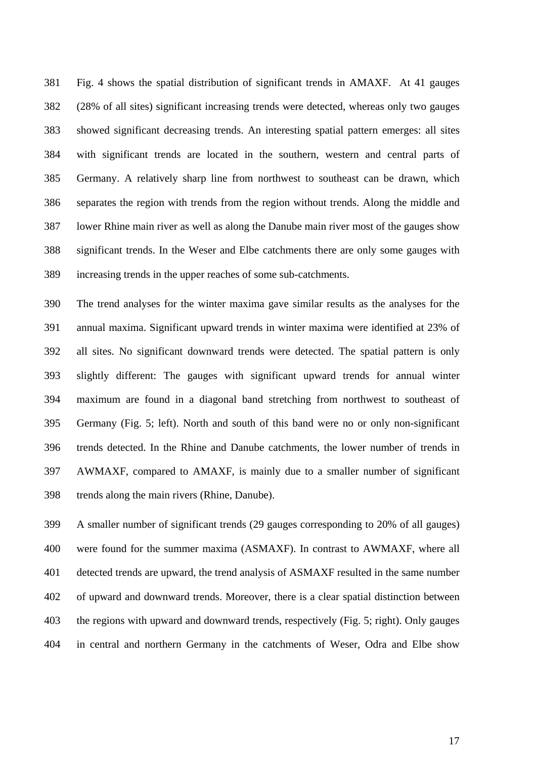381 Fig. 4 shows the spatial distribution of significant trends in AMAXF. At 41 gauges 382 (28% of all sites) significant increasing trends were detected, whereas only two gauges 383 showed significant decreasing trends. An interesting spatial pattern emerges: all sites 384 with significant trends are located in the southern, western and central parts of 385 Germany. A relatively sharp line from northwest to southeast can be drawn, which 386 separates the region with trends from the region without trends. Along the middle and 387 lower Rhine main river as well as along the Danube main river most of the gauges show 388 significant trends. In the Weser and Elbe catchments there are only some gauges with 389 increasing trends in the upper reaches of some sub-catchments.

390 The trend analyses for the winter maxima gave similar results as the analyses for the 391 annual maxima. Significant upward trends in winter maxima were identified at 23% of 392 all sites. No significant downward trends were detected. The spatial pattern is only 393 slightly different: The gauges with significant upward trends for annual winter 394 maximum are found in a diagonal band stretching from northwest to southeast of 395 Germany (Fig. 5; left). North and south of this band were no or only non-significant 396 trends detected. In the Rhine and Danube catchments, the lower number of trends in 397 AWMAXF, compared to AMAXF, is mainly due to a smaller number of significant 398 trends along the main rivers (Rhine, Danube).

399 A smaller number of significant trends (29 gauges corresponding to 20% of all gauges) 400 were found for the summer maxima (ASMAXF). In contrast to AWMAXF, where all 401 detected trends are upward, the trend analysis of ASMAXF resulted in the same number 402 of upward and downward trends. Moreover, there is a clear spatial distinction between 403 the regions with upward and downward trends, respectively (Fig. 5; right). Only gauges 404 in central and northern Germany in the catchments of Weser, Odra and Elbe show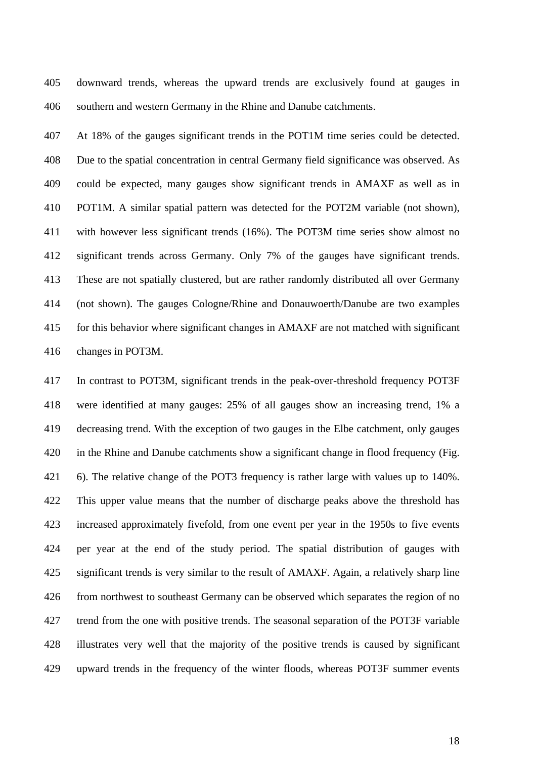405 downward trends, whereas the upward trends are exclusively found at gauges in 406 southern and western Germany in the Rhine and Danube catchments.

407 At 18% of the gauges significant trends in the POT1M time series could be detected. 408 Due to the spatial concentration in central Germany field significance was observed. As 409 could be expected, many gauges show significant trends in AMAXF as well as in 410 POT1M. A similar spatial pattern was detected for the POT2M variable (not shown), 411 with however less significant trends (16%). The POT3M time series show almost no 412 significant trends across Germany. Only 7% of the gauges have significant trends. 413 These are not spatially clustered, but are rather randomly distributed all over Germany 414 (not shown). The gauges Cologne/Rhine and Donauwoerth/Danube are two examples 415 for this behavior where significant changes in AMAXF are not matched with significant 416 changes in POT3M.

417 In contrast to POT3M, significant trends in the peak-over-threshold frequency POT3F 418 were identified at many gauges: 25% of all gauges show an increasing trend, 1% a 419 decreasing trend. With the exception of two gauges in the Elbe catchment, only gauges 420 in the Rhine and Danube catchments show a significant change in flood frequency (Fig. 421 6). The relative change of the POT3 frequency is rather large with values up to 140%. 422 This upper value means that the number of discharge peaks above the threshold has 423 increased approximately fivefold, from one event per year in the 1950s to five events 424 per year at the end of the study period. The spatial distribution of gauges with 425 significant trends is very similar to the result of AMAXF. Again, a relatively sharp line 426 from northwest to southeast Germany can be observed which separates the region of no 427 trend from the one with positive trends. The seasonal separation of the POT3F variable 428 illustrates very well that the majority of the positive trends is caused by significant 429 upward trends in the frequency of the winter floods, whereas POT3F summer events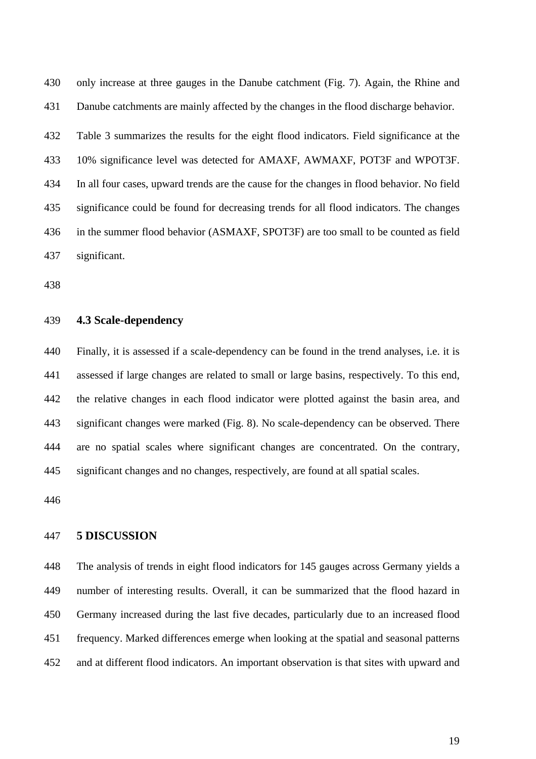430 only increase at three gauges in the Danube catchment (Fig. 7). Again, the Rhine and 431 Danube catchments are mainly affected by the changes in the flood discharge behavior.

432 Table 3 summarizes the results for the eight flood indicators. Field significance at the 433 10% significance level was detected for AMAXF, AWMAXF, POT3F and WPOT3F. 434 In all four cases, upward trends are the cause for the changes in flood behavior. No field 435 significance could be found for decreasing trends for all flood indicators. The changes 436 in the summer flood behavior (ASMAXF, SPOT3F) are too small to be counted as field 437 significant.

438

### 439 **4.3 Scale-dependency**

440 Finally, it is assessed if a scale-dependency can be found in the trend analyses, i.e. it is 441 assessed if large changes are related to small or large basins, respectively. To this end, 442 the relative changes in each flood indicator were plotted against the basin area, and 443 significant changes were marked (Fig. 8). No scale-dependency can be observed. There 444 are no spatial scales where significant changes are concentrated. On the contrary, 445 significant changes and no changes, respectively, are found at all spatial scales.

446

#### 447 **5 DISCUSSION**

448 The analysis of trends in eight flood indicators for 145 gauges across Germany yields a 449 number of interesting results. Overall, it can be summarized that the flood hazard in 450 Germany increased during the last five decades, particularly due to an increased flood 451 frequency. Marked differences emerge when looking at the spatial and seasonal patterns 452 and at different flood indicators. An important observation is that sites with upward and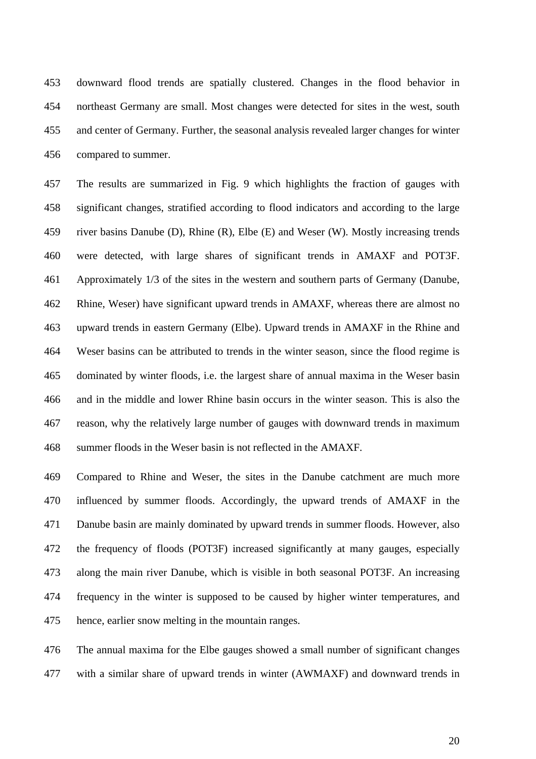453 downward flood trends are spatially clustered. Changes in the flood behavior in 454 northeast Germany are small. Most changes were detected for sites in the west, south 455 and center of Germany. Further, the seasonal analysis revealed larger changes for winter 456 compared to summer.

457 The results are summarized in Fig. 9 which highlights the fraction of gauges with 458 significant changes, stratified according to flood indicators and according to the large 459 river basins Danube (D), Rhine (R), Elbe (E) and Weser (W). Mostly increasing trends 460 were detected, with large shares of significant trends in AMAXF and POT3F. 461 Approximately 1/3 of the sites in the western and southern parts of Germany (Danube, 462 Rhine, Weser) have significant upward trends in AMAXF, whereas there are almost no 463 upward trends in eastern Germany (Elbe). Upward trends in AMAXF in the Rhine and 464 Weser basins can be attributed to trends in the winter season, since the flood regime is 465 dominated by winter floods, i.e. the largest share of annual maxima in the Weser basin 466 and in the middle and lower Rhine basin occurs in the winter season. This is also the 467 reason, why the relatively large number of gauges with downward trends in maximum 468 summer floods in the Weser basin is not reflected in the AMAXF.

469 Compared to Rhine and Weser, the sites in the Danube catchment are much more 470 influenced by summer floods. Accordingly, the upward trends of AMAXF in the 471 Danube basin are mainly dominated by upward trends in summer floods. However, also 472 the frequency of floods (POT3F) increased significantly at many gauges, especially 473 along the main river Danube, which is visible in both seasonal POT3F. An increasing 474 frequency in the winter is supposed to be caused by higher winter temperatures, and 475 hence, earlier snow melting in the mountain ranges.

476 The annual maxima for the Elbe gauges showed a small number of significant changes 477 with a similar share of upward trends in winter (AWMAXF) and downward trends in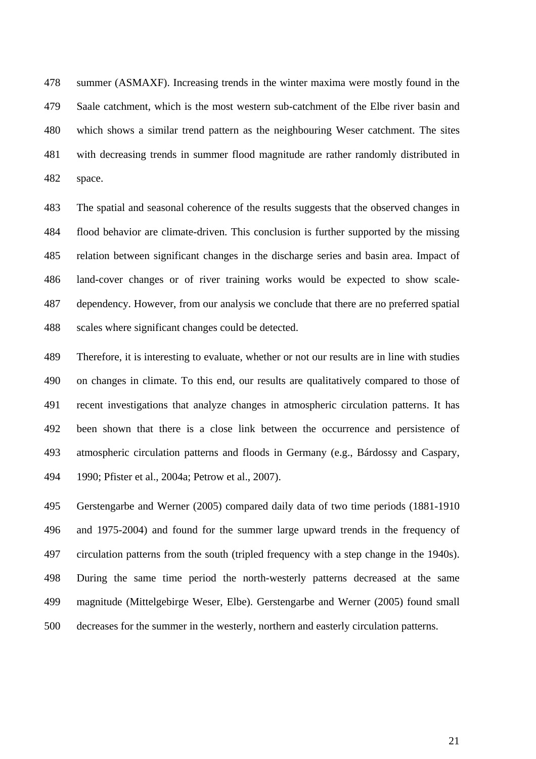478 summer (ASMAXF). Increasing trends in the winter maxima were mostly found in the 479 Saale catchment, which is the most western sub-catchment of the Elbe river basin and 480 which shows a similar trend pattern as the neighbouring Weser catchment. The sites 481 with decreasing trends in summer flood magnitude are rather randomly distributed in 482 space.

483 The spatial and seasonal coherence of the results suggests that the observed changes in 484 flood behavior are climate-driven. This conclusion is further supported by the missing 485 relation between significant changes in the discharge series and basin area. Impact of 486 land-cover changes or of river training works would be expected to show scale-487 dependency. However, from our analysis we conclude that there are no preferred spatial 488 scales where significant changes could be detected.

489 Therefore, it is interesting to evaluate, whether or not our results are in line with studies 490 on changes in climate. To this end, our results are qualitatively compared to those of 491 recent investigations that analyze changes in atmospheric circulation patterns. It has 492 been shown that there is a close link between the occurrence and persistence of 493 atmospheric circulation patterns and floods in Germany (e.g., Bárdossy and Caspary, 494 1990; Pfister et al., 2004a; Petrow et al., 2007).

495 Gerstengarbe and Werner (2005) compared daily data of two time periods (1881-1910 496 and 1975-2004) and found for the summer large upward trends in the frequency of 497 circulation patterns from the south (tripled frequency with a step change in the 1940s). 498 During the same time period the north-westerly patterns decreased at the same 499 magnitude (Mittelgebirge Weser, Elbe). Gerstengarbe and Werner (2005) found small 500 decreases for the summer in the westerly, northern and easterly circulation patterns.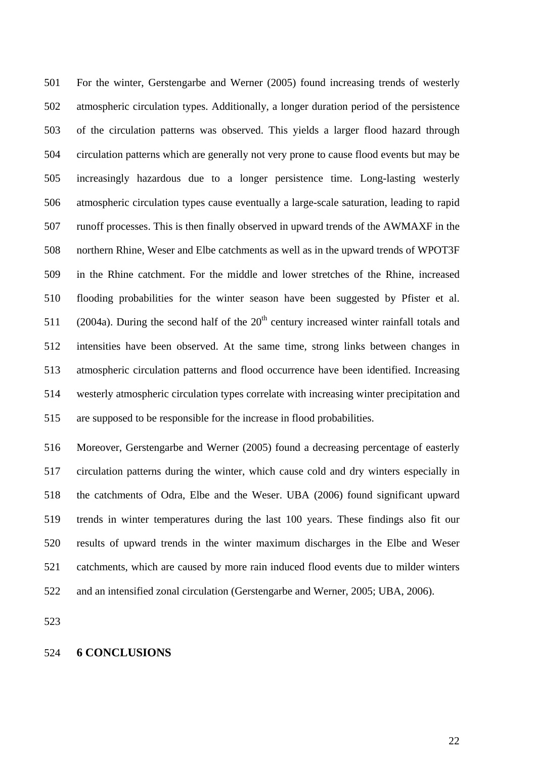501 For the winter, Gerstengarbe and Werner (2005) found increasing trends of westerly 502 atmospheric circulation types. Additionally, a longer duration period of the persistence 503 of the circulation patterns was observed. This yields a larger flood hazard through 504 circulation patterns which are generally not very prone to cause flood events but may be 505 increasingly hazardous due to a longer persistence time. Long-lasting westerly 506 atmospheric circulation types cause eventually a large-scale saturation, leading to rapid 507 runoff processes. This is then finally observed in upward trends of the AWMAXF in the 508 northern Rhine, Weser and Elbe catchments as well as in the upward trends of WPOT3F 509 in the Rhine catchment. For the middle and lower stretches of the Rhine, increased 510 flooding probabilities for the winter season have been suggested by Pfister et al. 511 (2004a). During the second half of the  $20<sup>th</sup>$  century increased winter rainfall totals and 512 intensities have been observed. At the same time, strong links between changes in 513 atmospheric circulation patterns and flood occurrence have been identified. Increasing 514 westerly atmospheric circulation types correlate with increasing winter precipitation and 515 are supposed to be responsible for the increase in flood probabilities.

516 Moreover, Gerstengarbe and Werner (2005) found a decreasing percentage of easterly 517 circulation patterns during the winter, which cause cold and dry winters especially in 518 the catchments of Odra, Elbe and the Weser. UBA (2006) found significant upward 519 trends in winter temperatures during the last 100 years. These findings also fit our 520 results of upward trends in the winter maximum discharges in the Elbe and Weser 521 catchments, which are caused by more rain induced flood events due to milder winters 522 and an intensified zonal circulation (Gerstengarbe and Werner, 2005; UBA, 2006).

523

#### 524 **6 CONCLUSIONS**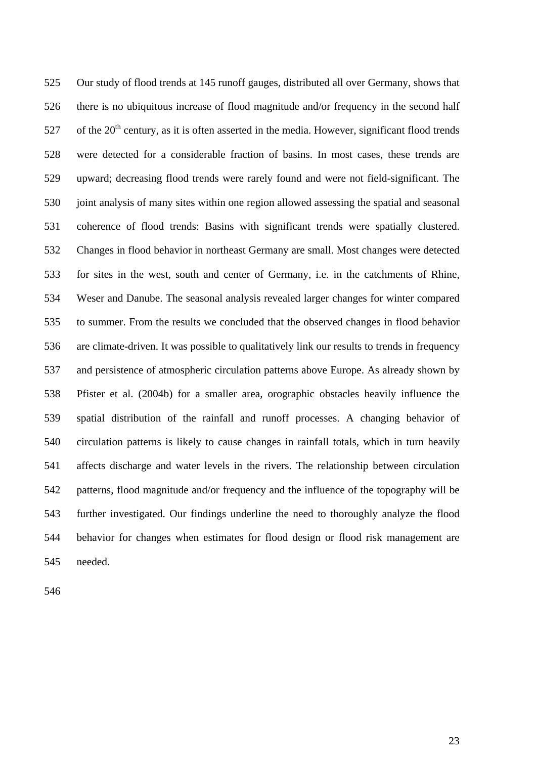525 Our study of flood trends at 145 runoff gauges, distributed all over Germany, shows that 526 there is no ubiquitous increase of flood magnitude and/or frequency in the second half 527 of the  $20<sup>th</sup>$  century, as it is often asserted in the media. However, significant flood trends 528 were detected for a considerable fraction of basins. In most cases, these trends are 529 upward; decreasing flood trends were rarely found and were not field-significant. The 530 joint analysis of many sites within one region allowed assessing the spatial and seasonal 531 coherence of flood trends: Basins with significant trends were spatially clustered. 532 Changes in flood behavior in northeast Germany are small. Most changes were detected 533 for sites in the west, south and center of Germany, i.e. in the catchments of Rhine, 534 Weser and Danube. The seasonal analysis revealed larger changes for winter compared 535 to summer. From the results we concluded that the observed changes in flood behavior 536 are climate-driven. It was possible to qualitatively link our results to trends in frequency 537 and persistence of atmospheric circulation patterns above Europe. As already shown by 538 Pfister et al. (2004b) for a smaller area, orographic obstacles heavily influence the 539 spatial distribution of the rainfall and runoff processes. A changing behavior of 540 circulation patterns is likely to cause changes in rainfall totals, which in turn heavily 541 affects discharge and water levels in the rivers. The relationship between circulation 542 patterns, flood magnitude and/or frequency and the influence of the topography will be 543 further investigated. Our findings underline the need to thoroughly analyze the flood 544 behavior for changes when estimates for flood design or flood risk management are 545 needed.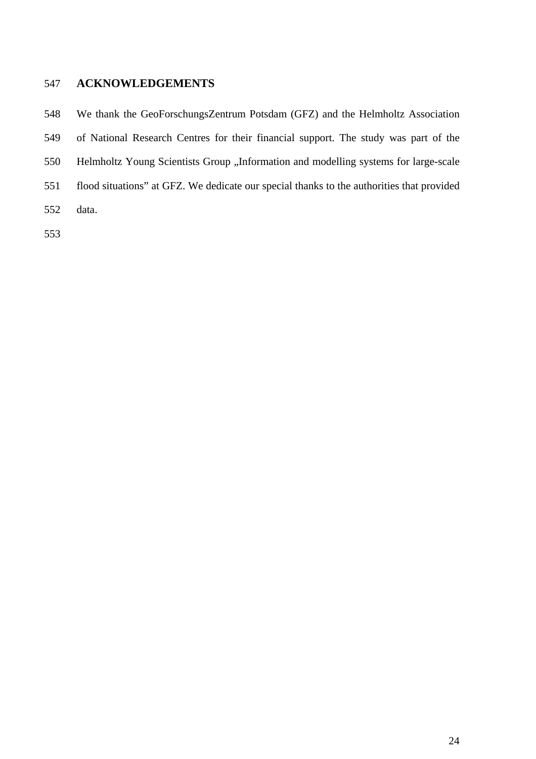# 547 **ACKNOWLEDGEMENTS**

548 We thank the GeoForschungsZentrum Potsdam (GFZ) and the Helmholtz Association

549 of National Research Centres for their financial support. The study was part of the

- 550 Helmholtz Young Scientists Group "Information and modelling systems for large-scale
- 551 flood situations" at GFZ. We dedicate our special thanks to the authorities that provided
- 552 data.
- 553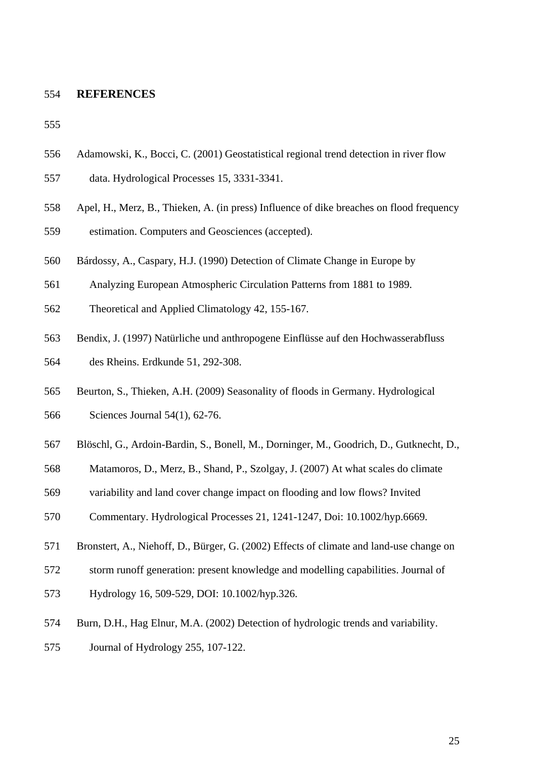#### 554 **REFERENCES**

- 556 Adamowski, K., Bocci, C. (2001) Geostatistical regional trend detection in river flow
- 557 data. Hydrological Processes 15, 3331-3341.
- 558 Apel, H., Merz, B., Thieken, A. (in press) Influence of dike breaches on flood frequency
- 559 estimation. Computers and Geosciences (accepted).
- 560 Bárdossy, A., Caspary, H.J. (1990) Detection of Climate Change in Europe by
- 561 Analyzing European Atmospheric Circulation Patterns from 1881 to 1989.
- 562 Theoretical and Applied Climatology 42, 155-167.
- 563 Bendix, J. (1997) Natürliche und anthropogene Einflüsse auf den Hochwasserabfluss
- 564 des Rheins. Erdkunde 51, 292-308.
- 565 Beurton, S., Thieken, A.H. (2009) Seasonality of floods in Germany. Hydrological
- 566 Sciences Journal 54(1), 62-76.
- 567 Blöschl, G., Ardoin-Bardin, S., Bonell, M., Dorninger, M., Goodrich, D., Gutknecht, D.,
- 568 Matamoros, D., Merz, B., Shand, P., Szolgay, J. (2007) At what scales do climate
- 569 variability and land cover change impact on flooding and low flows? Invited
- 570 Commentary. Hydrological Processes 21, 1241-1247, Doi: 10.1002/hyp.6669.
- 571 Bronstert, A., Niehoff, D., Bürger, G. (2002) Effects of climate and land-use change on
- 572 storm runoff generation: present knowledge and modelling capabilities. Journal of
- 573 Hydrology 16, 509-529, DOI: 10.1002/hyp.326.
- 574 Burn, D.H., Hag Elnur, M.A. (2002) Detection of hydrologic trends and variability.
- 575 Journal of Hydrology 255, 107-122.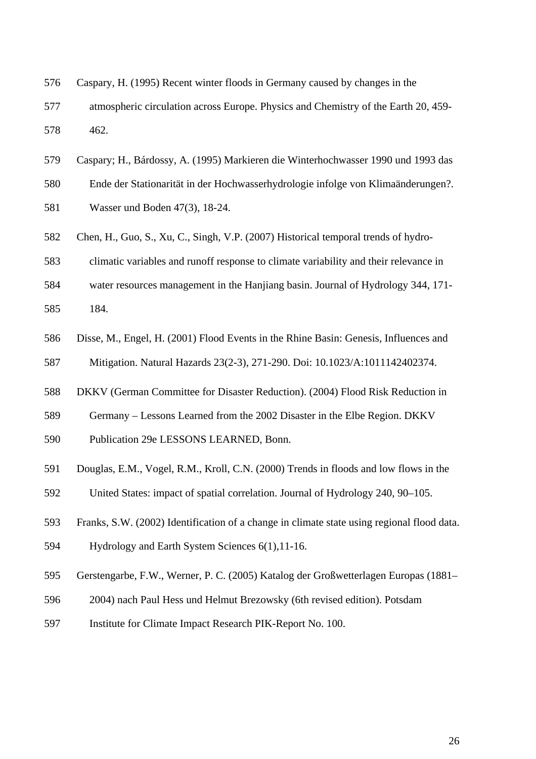- 576 Caspary, H. (1995) Recent winter floods in Germany caused by changes in the
- 577 atmospheric circulation across Europe. Physics and Chemistry of the Earth 20, 459- 578 462.
- 579 Caspary; H., Bárdossy, A. (1995) Markieren die Winterhochwasser 1990 und 1993 das
- 580 Ende der Stationarität in der Hochwasserhydrologie infolge von Klimaänderungen?.
- 581 Wasser und Boden 47(3), 18-24.
- 582 Chen, H., Guo, S., Xu, C., Singh, V.P. (2007) Historical temporal trends of hydro-
- 583 climatic variables and runoff response to climate variability and their relevance in
- 584 water resources management in the Hanjiang basin. Journal of Hydrology 344, 171-
- 585 184.
- 586 Disse, M., Engel, H. (2001) Flood Events in the Rhine Basin: Genesis, Influences and 587 Mitigation. Natural Hazards 23(2-3), 271-290. Doi: 10.1023/A:1011142402374.
- 588 DKKV (German Committee for Disaster Reduction). (2004) Flood Risk Reduction in
- 589 Germany Lessons Learned from the 2002 Disaster in the Elbe Region. DKKV
- 590 Publication 29e LESSONS LEARNED, Bonn.
- 591 Douglas, E.M., Vogel, R.M., Kroll, C.N. (2000) Trends in floods and low flows in the
- 592 United States: impact of spatial correlation. Journal of Hydrology 240, 90–105.
- 593 Franks, S.W. (2002) Identification of a change in climate state using regional flood data.
- 594 Hydrology and Earth System Sciences 6(1),11-16.
- 595 Gerstengarbe, F.W., Werner, P. C. (2005) Katalog der Großwetterlagen Europas (1881–
- 596 2004) nach Paul Hess und Helmut Brezowsky (6th revised edition). Potsdam
- 597 Institute for Climate Impact Research PIK-Report No. 100.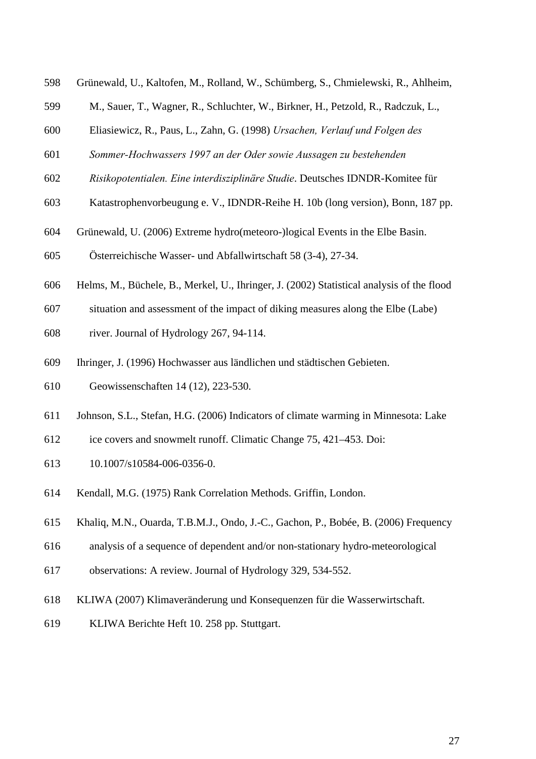- 598 Grünewald, U., Kaltofen, M., Rolland, W., Schümberg, S., Chmielewski, R., Ahlheim,
- 599 M., Sauer, T., Wagner, R., Schluchter, W., Birkner, H., Petzold, R., Radczuk, L.,
- 600 Eliasiewicz, R., Paus, L., Zahn, G. (1998) *Ursachen, Verlauf und Folgen des*
- 601 *Sommer-Hochwassers 1997 an der Oder sowie Aussagen zu bestehenden*
- 602 *Risikopotentialen. Eine interdisziplinäre Studie*. Deutsches IDNDR-Komitee für
- 603 Katastrophenvorbeugung e. V., IDNDR-Reihe H. 10b (long version), Bonn, 187 pp.
- 604 Grünewald, U. (2006) Extreme hydro(meteoro-)logical Events in the Elbe Basin.
- 605 Österreichische Wasser- und Abfallwirtschaft 58 (3-4), 27-34.
- 606 Helms, M., Büchele, B., Merkel, U., Ihringer, J. (2002) Statistical analysis of the flood
- 607 situation and assessment of the impact of diking measures along the Elbe (Labe)
- 608 river. Journal of Hydrology 267, 94-114.
- 609 Ihringer, J. (1996) Hochwasser aus ländlichen und städtischen Gebieten.
- 610 Geowissenschaften 14 (12), 223-530.
- 611 Johnson, S.L., Stefan, H.G. (2006) Indicators of climate warming in Minnesota: Lake
- 612 ice covers and snowmelt runoff. Climatic Change 75, 421–453. Doi:
- 613 10.1007/s10584-006-0356-0.
- 614 Kendall, M.G. (1975) Rank Correlation Methods. Griffin, London.
- 615 Khaliq, M.N., Ouarda, T.B.M.J., Ondo, J.-C., Gachon, P., Bobée, B. (2006) Frequency
- 616 analysis of a sequence of dependent and/or non-stationary hydro-meteorological
- 617 observations: A review. Journal of Hydrology 329, 534-552.
- 618 KLIWA (2007) Klimaveränderung und Konsequenzen für die Wasserwirtschaft.
- 619 KLIWA Berichte Heft 10. 258 pp. Stuttgart.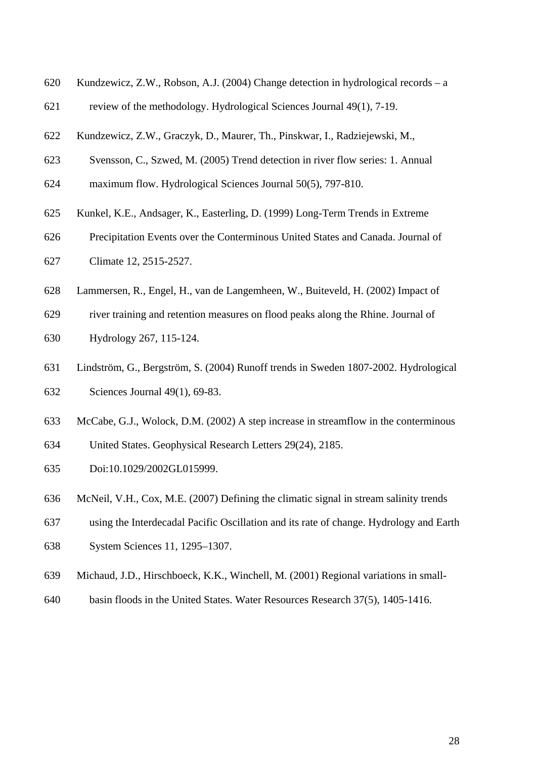- 620 Kundzewicz, Z.W., Robson, A.J. (2004) Change detection in hydrological records a
- 621 review of the methodology. Hydrological Sciences Journal 49(1), 7-19.
- 622 Kundzewicz, Z.W., Graczyk, D., Maurer, Th., Pinskwar, I., Radziejewski, M.,
- 623 Svensson, C., Szwed, M. (2005) Trend detection in river flow series: 1. Annual
- 624 maximum flow. Hydrological Sciences Journal 50(5), 797-810.
- 625 Kunkel, K.E., Andsager, K., Easterling, D. (1999) Long-Term Trends in Extreme
- 626 Precipitation Events over the Conterminous United States and Canada. Journal of
- 627 Climate 12, 2515-2527.
- 628 Lammersen, R., Engel, H., van de Langemheen, W., Buiteveld, H. (2002) Impact of
- 629 river training and retention measures on flood peaks along the Rhine. Journal of
- 630 Hydrology 267, 115-124.
- 631 Lindström, G., Bergström, S. (2004) Runoff trends in Sweden 1807-2002. Hydrological 632 Sciences Journal 49(1), 69-83.
- 633 McCabe, G.J., Wolock, D.M. (2002) A step increase in streamflow in the conterminous
- 634 United States. Geophysical Research Letters 29(24), 2185.
- 635 Doi:10.1029/2002GL015999.
- 636 McNeil, V.H., Cox, M.E. (2007) Defining the climatic signal in stream salinity trends
- 637 using the Interdecadal Pacific Oscillation and its rate of change. Hydrology and Earth
- 638 System Sciences 11, 1295–1307.
- 639 Michaud, J.D., Hirschboeck, K.K., Winchell, M. (2001) Regional variations in small-
- 640 basin floods in the United States. Water Resources Research 37(5), 1405-1416.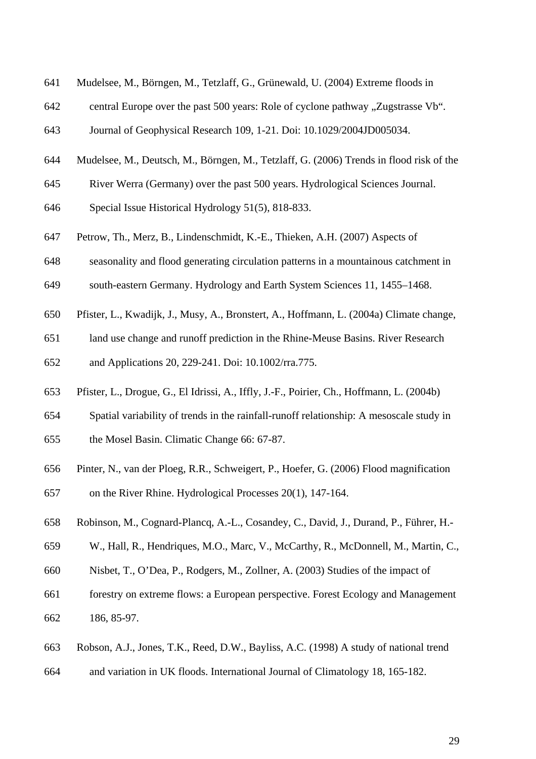- 641 Mudelsee, M., Börngen, M., Tetzlaff, G., Grünewald, U. (2004) Extreme floods in
- 642 central Europe over the past 500 years: Role of cyclone pathway . Zugstrasse Vb.
- 643 Journal of Geophysical Research 109, 1-21. Doi: 10.1029/2004JD005034.
- 644 Mudelsee, M., Deutsch, M., Börngen, M., Tetzlaff, G. (2006) Trends in flood risk of the
- 645 River Werra (Germany) over the past 500 years. Hydrological Sciences Journal.
- 646 Special Issue Historical Hydrology 51(5), 818-833.
- 647 Petrow, Th., Merz, B., Lindenschmidt, K.-E., Thieken, A.H. (2007) Aspects of
- 648 seasonality and flood generating circulation patterns in a mountainous catchment in
- 649 south-eastern Germany. Hydrology and Earth System Sciences 11, 1455–1468.
- 650 Pfister, L., Kwadijk, J., Musy, A., Bronstert, A., Hoffmann, L. (2004a) Climate change,
- 651 land use change and runoff prediction in the Rhine-Meuse Basins. River Research 652 and Applications 20, 229-241. Doi: 10.1002/rra.775.
- 653 Pfister, L., Drogue, G., El Idrissi, A., Iffly, J.-F., Poirier, Ch., Hoffmann, L. (2004b)
- 654 Spatial variability of trends in the rainfall-runoff relationship: A mesoscale study in
- 655 the Mosel Basin. Climatic Change 66: 67-87.
- 656 Pinter, N., van der Ploeg, R.R., Schweigert, P., Hoefer, G. (2006) Flood magnification
- 657 on the River Rhine. Hydrological Processes 20(1), 147-164.
- 658 Robinson, M., Cognard-Plancq, A.-L., Cosandey, C., David, J., Durand, P., Führer, H.-
- 659 W., Hall, R., Hendriques, M.O., Marc, V., McCarthy, R., McDonnell, M., Martin, C.,
- 660 Nisbet, T., O'Dea, P., Rodgers, M., Zollner, A. (2003) Studies of the impact of
- 661 forestry on extreme flows: a European perspective. Forest Ecology and Management 662 186, 85-97.
- 663 Robson, A.J., Jones, T.K., Reed, D.W., Bayliss, A.C. (1998) A study of national trend
- 664 and variation in UK floods. International Journal of Climatology 18, 165-182.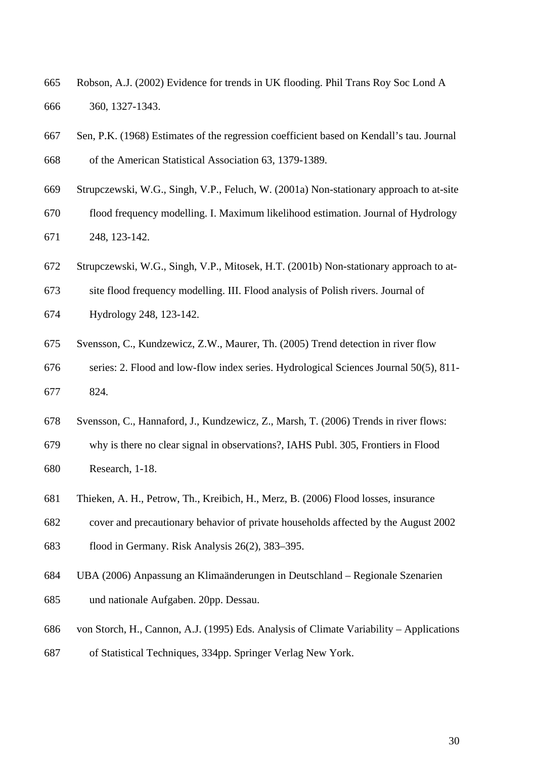- 665 Robson, A.J. (2002) Evidence for trends in UK flooding. Phil Trans Roy Soc Lond A 666 360, 1327-1343.
- 667 Sen, P.K. (1968) Estimates of the regression coefficient based on Kendall's tau. Journal
- 668 of the American Statistical Association 63, 1379-1389.
- 669 Strupczewski, W.G., Singh, V.P., Feluch, W. (2001a) Non-stationary approach to at-site
- 670 flood frequency modelling. I. Maximum likelihood estimation. Journal of Hydrology 671 248, 123-142.
- 672 Strupczewski, W.G., Singh, V.P., Mitosek, H.T. (2001b) Non-stationary approach to at-
- 673 site flood frequency modelling. III. Flood analysis of Polish rivers. Journal of
- 674 Hydrology 248, 123-142.
- 675 Svensson, C., Kundzewicz, Z.W., Maurer, Th. (2005) Trend detection in river flow
- 676 series: 2. Flood and low-flow index series. Hydrological Sciences Journal 50(5), 811- 677 824.
- 678 Svensson, C., Hannaford, J., Kundzewicz, Z., Marsh, T. (2006) Trends in river flows:
- 679 why is there no clear signal in observations?, IAHS Publ. 305, Frontiers in Flood
- 680 Research, 1-18.
- 681 Thieken, A. H., Petrow, Th., Kreibich, H., Merz, B. (2006) Flood losses, insurance
- 682 cover and precautionary behavior of private households affected by the August 2002
- 683 flood in Germany. Risk Analysis 26(2), 383–395.
- 684 UBA (2006) Anpassung an Klimaänderungen in Deutschland Regionale Szenarien
- 685 und nationale Aufgaben. 20pp. Dessau.
- 686 von Storch, H., Cannon, A.J. (1995) Eds. Analysis of Climate Variability Applications
- 687 of Statistical Techniques, 334pp. Springer Verlag New York.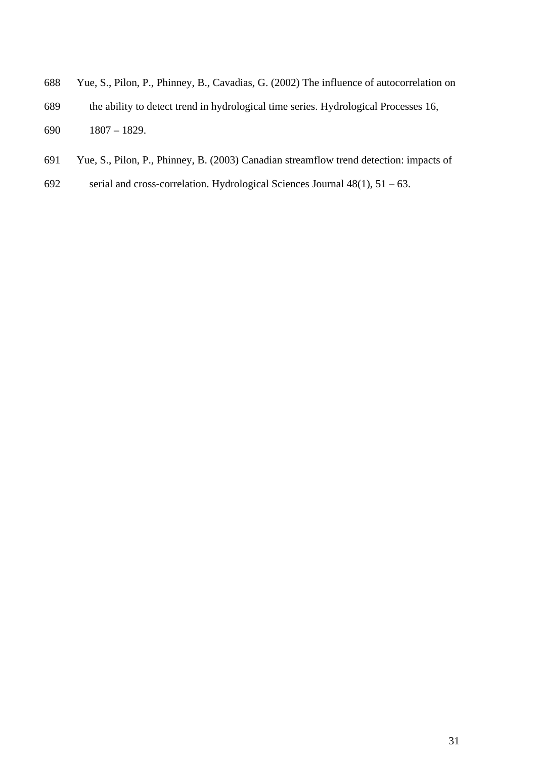- 688 Yue, S., Pilon, P., Phinney, B., Cavadias, G. (2002) The influence of autocorrelation on 689 the ability to detect trend in hydrological time series. Hydrological Processes 16,
- 690 1807 1829.
- 691 Yue, S., Pilon, P., Phinney, B. (2003) Canadian streamflow trend detection: impacts of
- 692 serial and cross-correlation. Hydrological Sciences Journal  $48(1)$ ,  $51 63$ .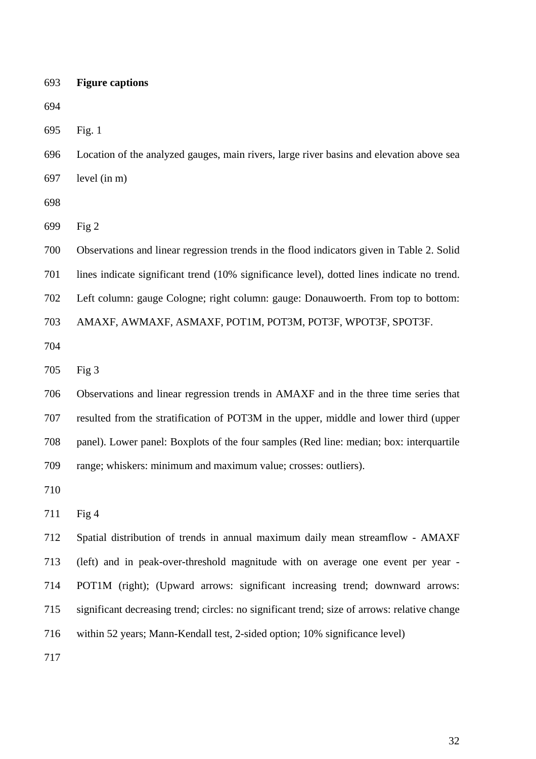| 693 | <b>Figure captions</b> |
|-----|------------------------|
|     |                        |

694

695 Fig. 1

696 Location of the analyzed gauges, main rivers, large river basins and elevation above sea 697 level (in m)

698

699 Fig 2

700 Observations and linear regression trends in the flood indicators given in Table 2. Solid 701 lines indicate significant trend (10% significance level), dotted lines indicate no trend. 702 Left column: gauge Cologne; right column: gauge: Donauwoerth. From top to bottom: 703 AMAXF, AWMAXF, ASMAXF, POT1M, POT3M, POT3F, WPOT3F, SPOT3F.

704

705 Fig 3

706 Observations and linear regression trends in AMAXF and in the three time series that 707 resulted from the stratification of POT3M in the upper, middle and lower third (upper 708 panel). Lower panel: Boxplots of the four samples (Red line: median; box: interquartile 709 range; whiskers: minimum and maximum value; crosses: outliers).

710

711 Fig 4

712 Spatial distribution of trends in annual maximum daily mean streamflow - AMAXF 713 (left) and in peak-over-threshold magnitude with on average one event per year - 714 POT1M (right); (Upward arrows: significant increasing trend; downward arrows: 715 significant decreasing trend; circles: no significant trend; size of arrows: relative change 716 within 52 years; Mann-Kendall test, 2-sided option; 10% significance level)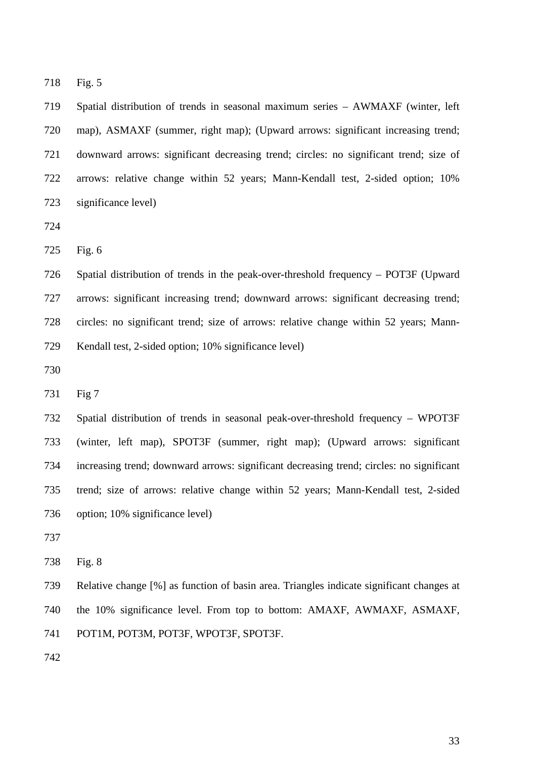718 Fig. 5

719 Spatial distribution of trends in seasonal maximum series – AWMAXF (winter, left 720 map), ASMAXF (summer, right map); (Upward arrows: significant increasing trend; 721 downward arrows: significant decreasing trend; circles: no significant trend; size of 722 arrows: relative change within 52 years; Mann-Kendall test, 2-sided option; 10% 723 significance level)

724

725 Fig. 6

726 Spatial distribution of trends in the peak-over-threshold frequency – POT3F (Upward 727 arrows: significant increasing trend; downward arrows: significant decreasing trend; 728 circles: no significant trend; size of arrows: relative change within 52 years; Mann-729 Kendall test, 2-sided option; 10% significance level)

730

731 Fig 7

732 Spatial distribution of trends in seasonal peak-over-threshold frequency – WPOT3F 733 (winter, left map), SPOT3F (summer, right map); (Upward arrows: significant 734 increasing trend; downward arrows: significant decreasing trend; circles: no significant 735 trend; size of arrows: relative change within 52 years; Mann-Kendall test, 2-sided 736 option; 10% significance level)

737

738 Fig. 8

739 Relative change [%] as function of basin area. Triangles indicate significant changes at 740 the 10% significance level. From top to bottom: AMAXF, AWMAXF, ASMAXF, 741 POT1M, POT3M, POT3F, WPOT3F, SPOT3F.

742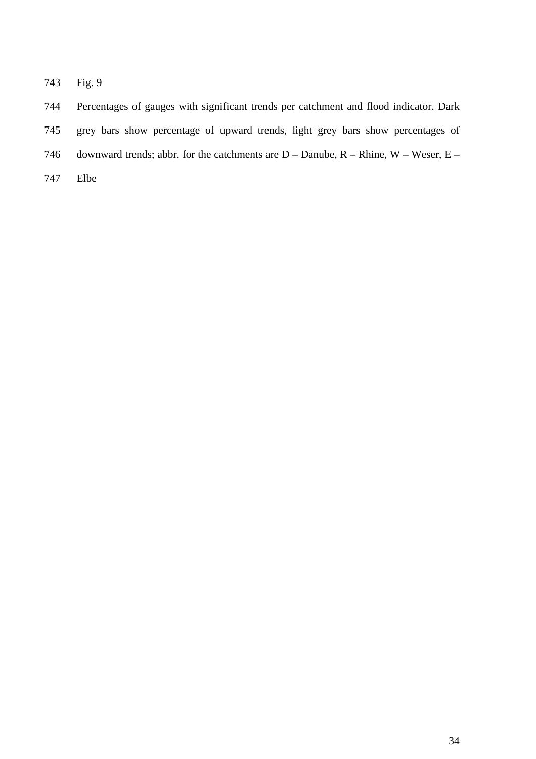743 Fig. 9

744 Percentages of gauges with significant trends per catchment and flood indicator. Dark 745 grey bars show percentage of upward trends, light grey bars show percentages of 746 downward trends; abbr. for the catchments are  $D -$  Danube,  $R -$ Rhine,  $W -$  Weser,  $E -$ 

747 Elbe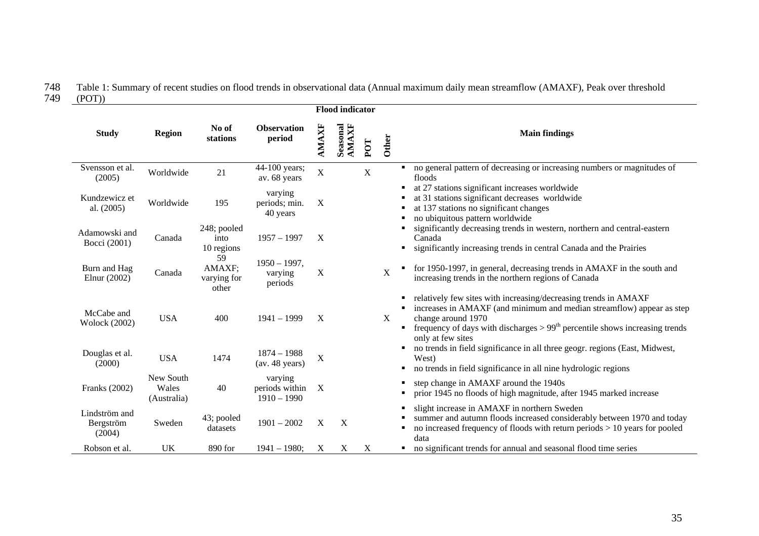# 748 Table 1: Summary of recent studies on flood trends in observational data (Annual maximum daily mean streamflow (AMAXF), Peak over threshold

749 (POT))

|                                      |                                   |                                      |                                            |             | <b>Flood indicator</b> |                           |              |                                                                                                                                                                                                                                                                      |  |
|--------------------------------------|-----------------------------------|--------------------------------------|--------------------------------------------|-------------|------------------------|---------------------------|--------------|----------------------------------------------------------------------------------------------------------------------------------------------------------------------------------------------------------------------------------------------------------------------|--|
| <b>Study</b>                         | <b>Region</b>                     | No of<br>stations                    | <b>Observation</b><br>period               | AMAXF       | Seasonal<br>AMAXF      | POT                       | <b>Other</b> | <b>Main findings</b>                                                                                                                                                                                                                                                 |  |
| Svensson et al.<br>(2005)            | Worldwide                         | 21                                   | 44-100 years;<br>av. 68 years              | $\mathbf X$ |                        | $\boldsymbol{\mathrm{X}}$ |              | no general pattern of decreasing or increasing numbers or magnitudes of<br>floods                                                                                                                                                                                    |  |
| Kundzewicz et<br>al. (2005)          | Worldwide                         | 195                                  | varying<br>periods; min.<br>40 years       | $\mathbf X$ |                        |                           |              | at 27 stations significant increases worldwide<br>at 31 stations significant decreases worldwide<br>at 137 stations no significant changes<br>no ubiquitous pattern worldwide                                                                                        |  |
| Adamowski and<br>Bocci (2001)        | Canada                            | 248; pooled<br>into<br>10 regions    | $1957 - 1997$                              | X           |                        |                           |              | significantly decreasing trends in western, northern and central-eastern<br>Canada<br>significantly increasing trends in central Canada and the Prairies                                                                                                             |  |
| Burn and Hag<br>Elnur (2002)         | Canada                            | 59<br>AMAXF;<br>varying for<br>other | $1950 - 1997,$<br>varying<br>periods       | X           |                        |                           | $\mathbf X$  | for 1950-1997, in general, decreasing trends in AMAXF in the south and<br>increasing trends in the northern regions of Canada                                                                                                                                        |  |
| McCabe and<br><b>Wolock (2002)</b>   | <b>USA</b>                        | 400                                  | $1941 - 1999$                              | X           |                        |                           | X            | relatively few sites with increasing/decreasing trends in AMAXF<br>increases in AMAXF (and minimum and median streamflow) appear as step<br>change around 1970<br>frequency of days with discharges $> 99th$ percentile shows increasing trends<br>only at few sites |  |
| Douglas et al.<br>(2000)             | <b>USA</b>                        | 1474                                 | $1874 - 1988$<br>(av. 48 years)            | X           |                        |                           |              | no trends in field significance in all three geogr. regions (East, Midwest,<br>West)<br>no trends in field significance in all nine hydrologic regions                                                                                                               |  |
| Franks (2002)                        | New South<br>Wales<br>(Australia) | 40                                   | varying<br>periods within<br>$1910 - 1990$ | X           |                        |                           |              | step change in AMAXF around the 1940s<br>prior 1945 no floods of high magnitude, after 1945 marked increase                                                                                                                                                          |  |
| Lindström and<br>Bergström<br>(2004) | Sweden                            | 43; pooled<br>datasets               | $1901 - 2002$                              | X           | X                      |                           |              | slight increase in AMAXF in northern Sweden<br>summer and autumn floods increased considerably between 1970 and today<br>no increased frequency of floods with return periods $> 10$ years for pooled<br>data                                                        |  |
| Robson et al.                        | UK                                | 890 for                              | $1941 - 1980$ ;                            | X           | X                      | $\boldsymbol{\mathrm{X}}$ |              | no significant trends for annual and seasonal flood time series<br>٠                                                                                                                                                                                                 |  |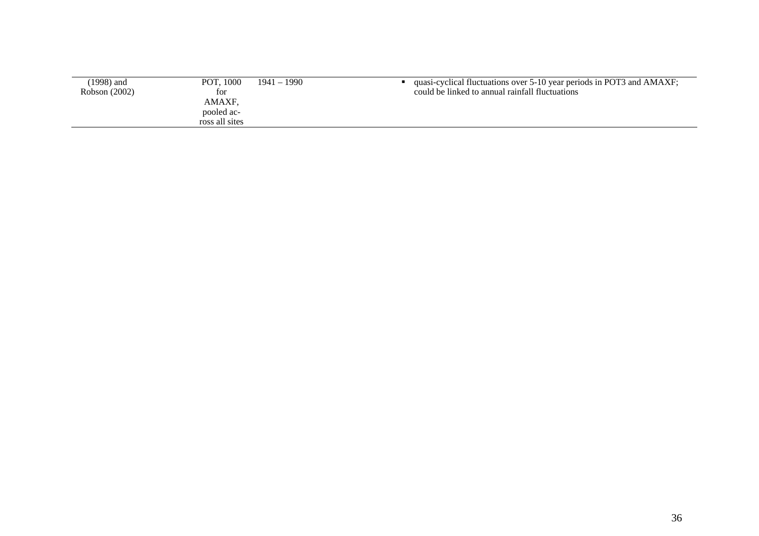| (1998) and    | POT. 1000      | $1941 - 1990$ | quasi-cyclical fluctuations over 5-10 year periods in POT3 and AMAXF; |
|---------------|----------------|---------------|-----------------------------------------------------------------------|
| Robson (2002) | tor            |               | could be linked to annual rainfall fluctuations                       |
|               | AMAXF.         |               |                                                                       |
|               | pooled ac-     |               |                                                                       |
|               | ross all sites |               |                                                                       |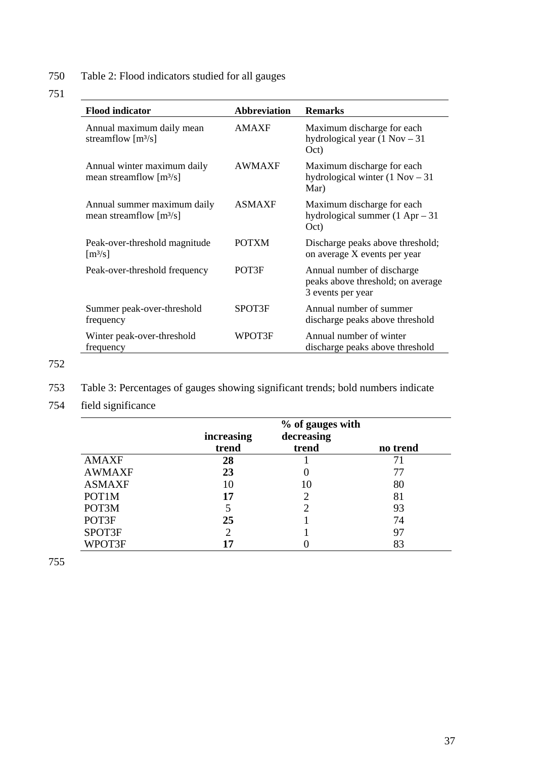750 Table 2: Flood indicators studied for all gauges

# 751

| <b>Flood indicator</b>                                        | <b>Abbreviation</b> | <b>Remarks</b>                                                                       |  |
|---------------------------------------------------------------|---------------------|--------------------------------------------------------------------------------------|--|
| Annual maximum daily mean<br>streamflow $[m3/s]$              | <b>AMAXF</b>        | Maximum discharge for each<br>hydrological year $(1 Nov - 31$<br>Oct)                |  |
| Annual winter maximum daily<br>mean streamflow $[m^3/s]$      | <b>AWMAXF</b>       | Maximum discharge for each<br>hydrological winter $(1 Nov - 31)$<br>Mar)             |  |
| Annual summer maximum daily<br>mean streamflow $[m^3/s]$      | <b>ASMAXF</b>       | Maximum discharge for each<br>hydrological summer $(1$ Apr $-31$<br>Oct)             |  |
| Peak-over-threshold magnitude<br>$\left[\frac{m^3}{s}\right]$ | <b>POTXM</b>        | Discharge peaks above threshold;<br>on average X events per year                     |  |
| Peak-over-threshold frequency                                 | POT3F               | Annual number of discharge<br>peaks above threshold; on average<br>3 events per year |  |
| Summer peak-over-threshold<br>frequency                       | SPOT3F              | Annual number of summer<br>discharge peaks above threshold                           |  |
| Winter peak-over-threshold<br>frequency                       | WPOT3F              | Annual number of winter<br>discharge peaks above threshold                           |  |

752

- 753 Table 3: Percentages of gauges showing significant trends; bold numbers indicate
- 754 field significance

|               | % of gauges with |            |          |  |  |
|---------------|------------------|------------|----------|--|--|
|               | increasing       | decreasing |          |  |  |
|               | trend            | trend      | no trend |  |  |
| <b>AMAXF</b>  | 28               |            |          |  |  |
| <b>AWMAXF</b> | 23               |            | 77       |  |  |
| <b>ASMAXF</b> | 10               | 10         | 80       |  |  |
| POT1M         | 17               |            | 81       |  |  |
| POT3M         | 5                |            | 93       |  |  |
| POT3F         | 25               |            | 74       |  |  |
| SPOT3F        | 2                |            | 97       |  |  |
| WPOT3F        | 17               |            | 83       |  |  |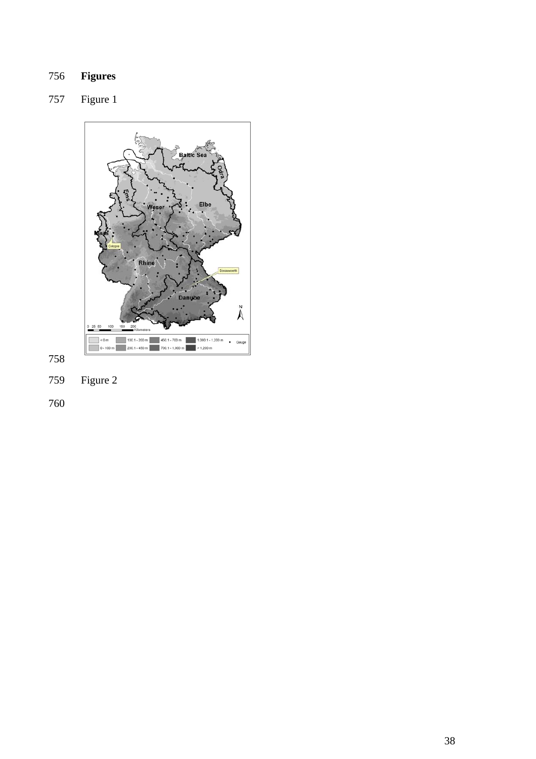# **Figures**

# 757 Figure 1



759 Figure 2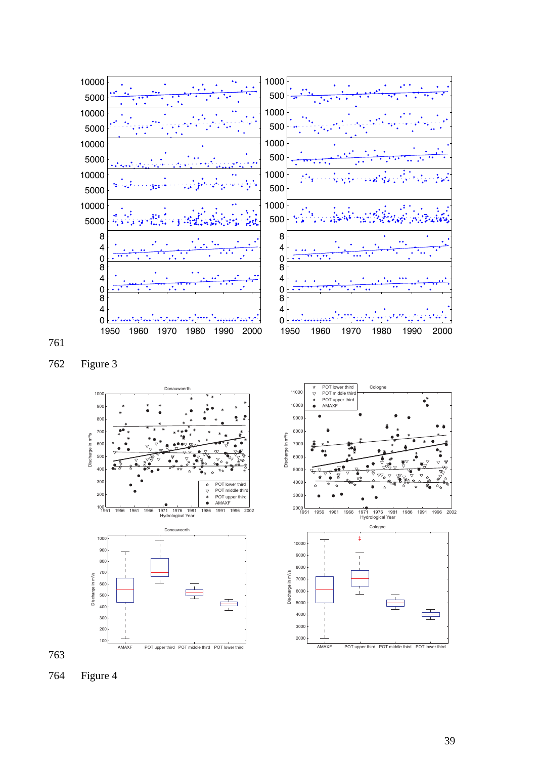

762 Figure 3





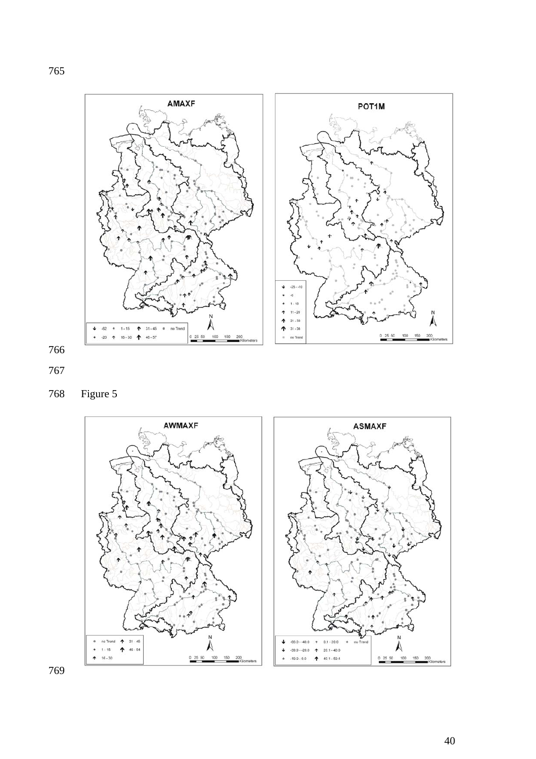







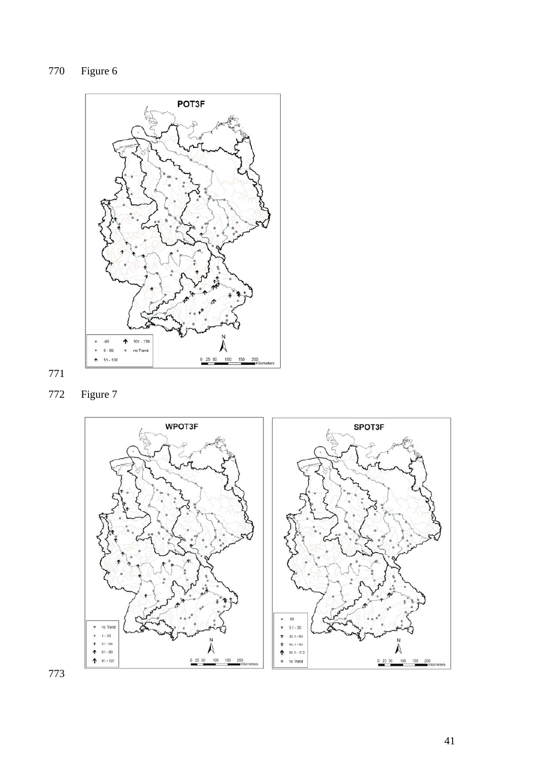770 Figure 6







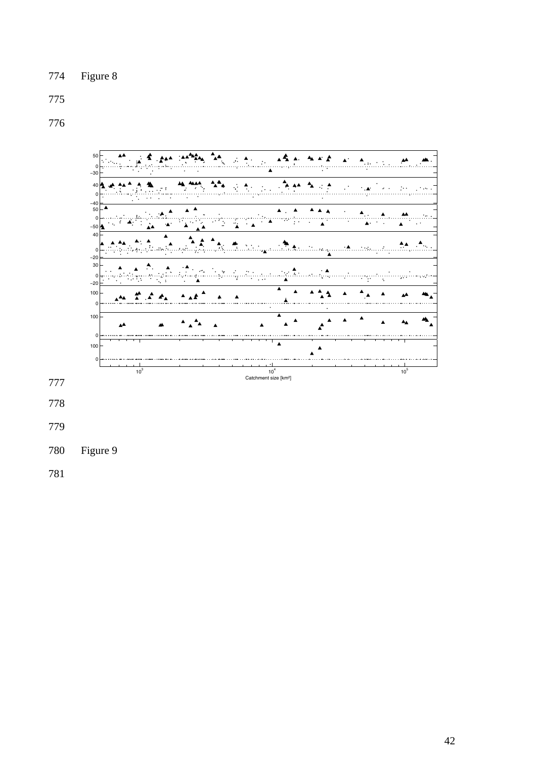# 

![](_page_42_Figure_3.jpeg)

780 Figure 9